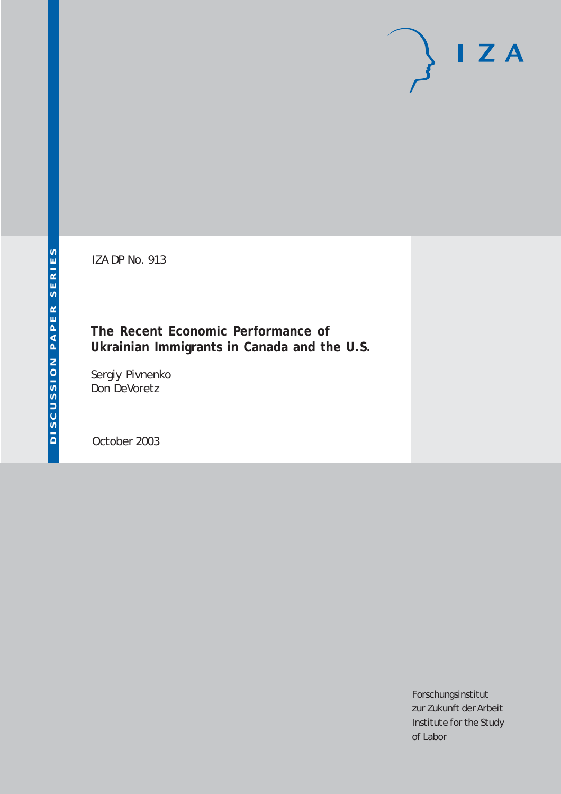IZA DP No. 913

**The Recent Economic Performance of Ukrainian Immigrants in Canada and the U.S.**

Sergiy Pivnenko Don DeVoretz

October 2003

Forschungsinstitut zur Zukunft der Arbeit Institute for the Study of Labor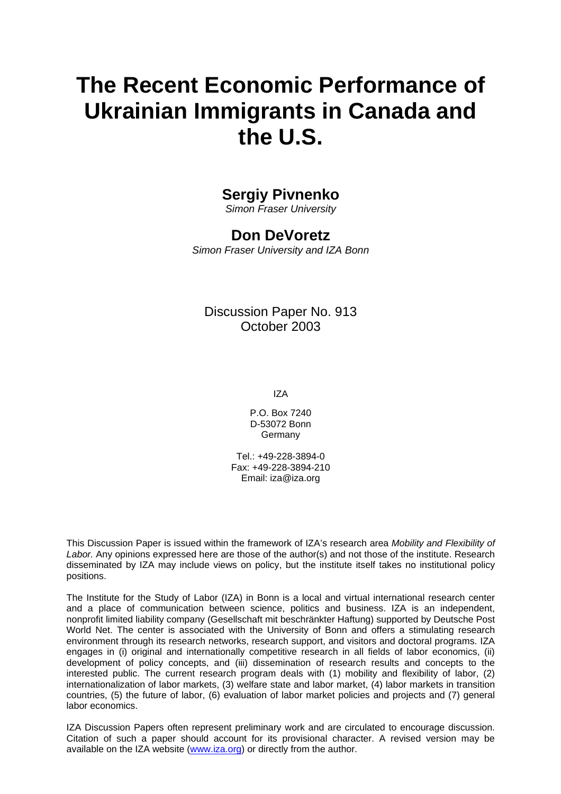# **The Recent Economic Performance of Ukrainian Immigrants in Canada and the U.S.**

## **Sergiy Pivnenko**

*Simon Fraser University* 

### **Don DeVoretz**

*Simon Fraser University and IZA Bonn* 

### Discussion Paper No. 913 October 2003

IZA

P.O. Box 7240 D-53072 Bonn Germany

Tel.: +49-228-3894-0 Fax: +49-228-3894-210 Email: [iza@iza.org](mailto:iza@iza.org)

This Discussion Paper is issued within the framework of IZA's research area *Mobility and Flexibility of Labor.* Any opinions expressed here are those of the author(s) and not those of the institute. Research disseminated by IZA may include views on policy, but the institute itself takes no institutional policy positions.

The Institute for the Study of Labor (IZA) in Bonn is a local and virtual international research center and a place of communication between science, politics and business. IZA is an independent, nonprofit limited liability company (Gesellschaft mit beschränkter Haftung) supported by Deutsche Post World Net. The center is associated with the University of Bonn and offers a stimulating research environment through its research networks, research support, and visitors and doctoral programs. IZA engages in (i) original and internationally competitive research in all fields of labor economics, (ii) development of policy concepts, and (iii) dissemination of research results and concepts to the interested public. The current research program deals with (1) mobility and flexibility of labor, (2) internationalization of labor markets, (3) welfare state and labor market, (4) labor markets in transition countries, (5) the future of labor, (6) evaluation of labor market policies and projects and (7) general labor economics.

IZA Discussion Papers often represent preliminary work and are circulated to encourage discussion. Citation of such a paper should account for its provisional character. A revised version may be available on the IZA website ([www.iza.org](http://www.iza.org/)) or directly from the author.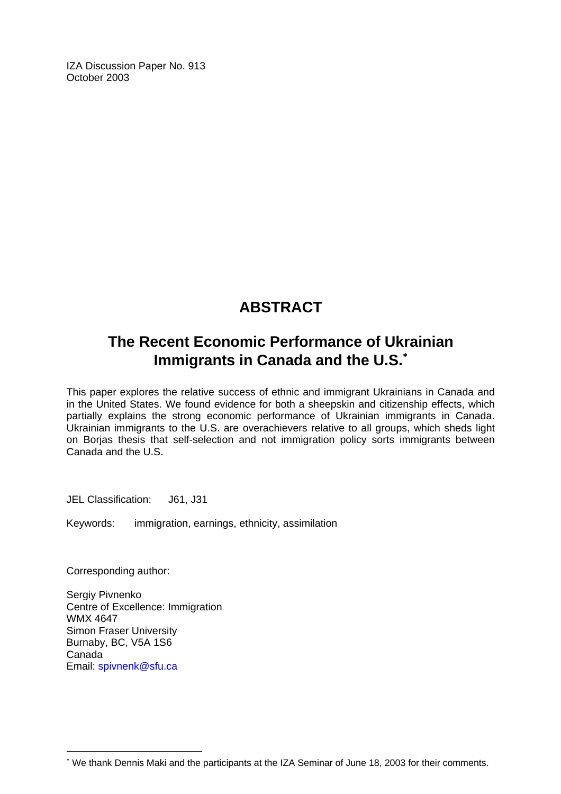IZA Discussion Paper No. 913 October 2003

## **ABSTRACT**

## **The Recent Economic Performance of Ukrainian Immigrants in Canada and the U.S.**[∗](#page-2-0)

This paper explores the relative success of ethnic and immigrant Ukrainians in Canada and in the United States. We found evidence for both a sheepskin and citizenship effects, which partially explains the strong economic performance of Ukrainian immigrants in Canada. Ukrainian immigrants to the U.S. are overachievers relative to all groups, which sheds light on Borjas thesis that self-selection and not immigration policy sorts immigrants between Canada and the U.S.

JEL Classification: J61, J31

Keywords: immigration, earnings, ethnicity, assimilation

Corresponding author:

 $\overline{a}$ 

Sergiy Pivnenko Centre of Excellence: Immigration WMX 4647 Simon Fraser University Burnaby, BC, V5A 1S6 Canada Email: [spivnenk@sfu.ca](mailto:spivnenk@sfu.ca)

<span id="page-2-0"></span><sup>∗</sup> We thank Dennis Maki and the participants at the IZA Seminar of June 18, 2003 for their comments.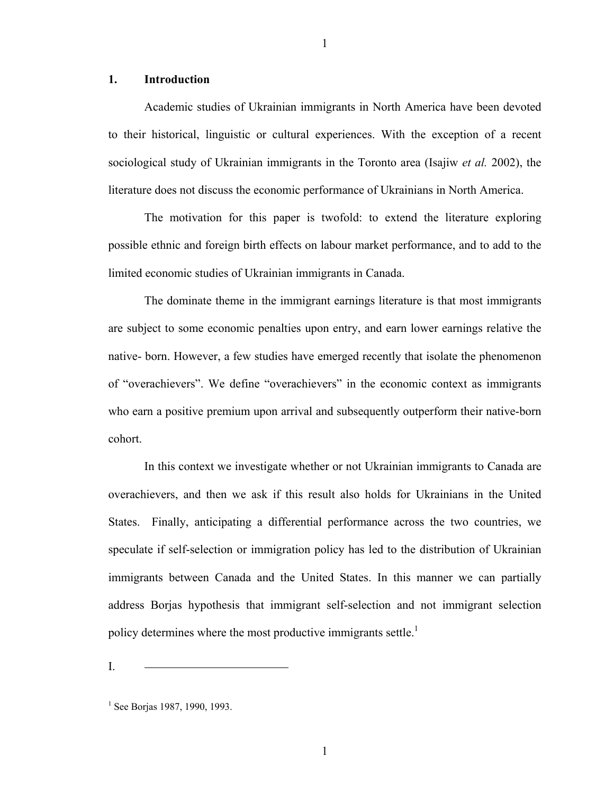#### **1. Introduction**

Academic studies of Ukrainian immigrants in North America have been devoted to their historical, linguistic or cultural experiences. With the exception of a recent sociological study of Ukrainian immigrants in the Toronto area (Isajiw *et al.* 2002), the literature does not discuss the economic performance of Ukrainians in North America.

1

The motivation for this paper is twofold: to extend the literature exploring possible ethnic and foreign birth effects on labour market performance, and to add to the limited economic studies of Ukrainian immigrants in Canada.

The dominate theme in the immigrant earnings literature is that most immigrants are subject to some economic penalties upon entry, and earn lower earnings relative the native- born. However, a few studies have emerged recently that isolate the phenomenon of "overachievers". We define "overachievers" in the economic context as immigrants who earn a positive premium upon arrival and subsequently outperform their native-born cohort.

In this context we investigate whether or not Ukrainian immigrants to Canada are overachievers, and then we ask if this result also holds for Ukrainians in the United States. Finally, anticipating a differential performance across the two countries, we speculate if self-selection or immigration policy has led to the distribution of Ukrainian immigrants between Canada and the United States. In this manner we can partially address Borjas hypothesis that immigrant self-selection and not immigrant selection policy determines where the most productive immigrants settle.<sup>1</sup>

<span id="page-3-0"></span> $1$  See Borjas 1987, 1990, 1993.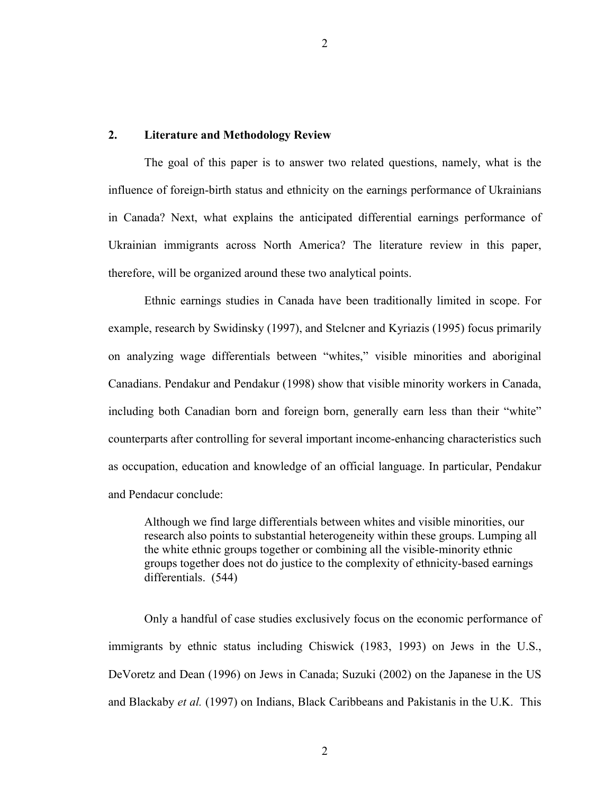#### **2. Literature and Methodology Review**

The goal of this paper is to answer two related questions, namely, what is the influence of foreign-birth status and ethnicity on the earnings performance of Ukrainians in Canada? Next, what explains the anticipated differential earnings performance of Ukrainian immigrants across North America? The literature review in this paper, therefore, will be organized around these two analytical points.

Ethnic earnings studies in Canada have been traditionally limited in scope. For example, research by Swidinsky (1997), and Stelcner and Kyriazis (1995) focus primarily on analyzing wage differentials between "whites," visible minorities and aboriginal Canadians. Pendakur and Pendakur (1998) show that visible minority workers in Canada, including both Canadian born and foreign born, generally earn less than their "white" counterparts after controlling for several important income-enhancing characteristics such as occupation, education and knowledge of an official language. In particular, Pendakur and Pendacur conclude:

Although we find large differentials between whites and visible minorities, our research also points to substantial heterogeneity within these groups. Lumping all the white ethnic groups together or combining all the visible-minority ethnic groups together does not do justice to the complexity of ethnicity-based earnings differentials. (544)

Only a handful of case studies exclusively focus on the economic performance of immigrants by ethnic status including Chiswick (1983, 1993) on Jews in the U.S., DeVoretz and Dean (1996) on Jews in Canada; Suzuki (2002) on the Japanese in the US and Blackaby *et al.* (1997) on Indians, Black Caribbeans and Pakistanis in the U.K. This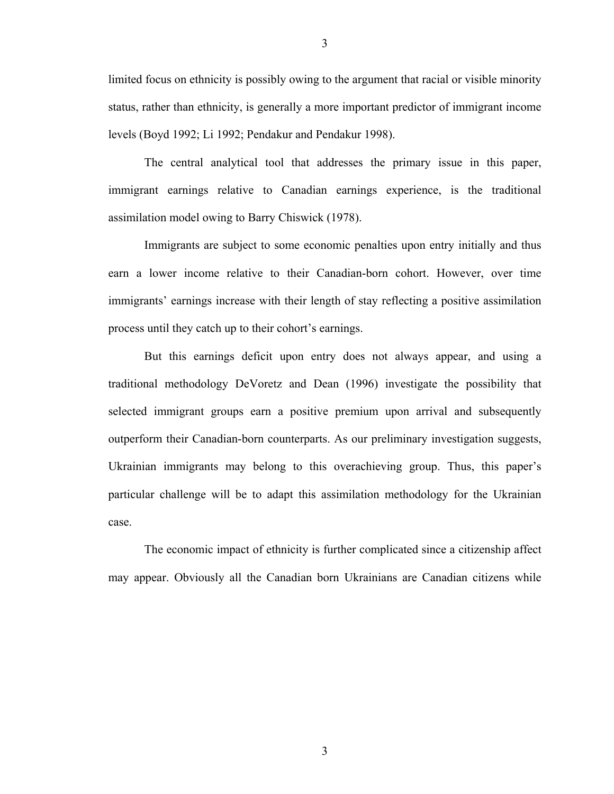limited focus on ethnicity is possibly owing to the argument that racial or visible minority status, rather than ethnicity, is generally a more important predictor of immigrant income levels (Boyd 1992; Li 1992; Pendakur and Pendakur 1998).

The central analytical tool that addresses the primary issue in this paper, immigrant earnings relative to Canadian earnings experience, is the traditional assimilation model owing to Barry Chiswick (1978).

Immigrants are subject to some economic penalties upon entry initially and thus earn a lower income relative to their Canadian-born cohort. However, over time immigrants' earnings increase with their length of stay reflecting a positive assimilation process until they catch up to their cohort's earnings.

But this earnings deficit upon entry does not always appear, and using a traditional methodology DeVoretz and Dean (1996) investigate the possibility that selected immigrant groups earn a positive premium upon arrival and subsequently outperform their Canadian-born counterparts. As our preliminary investigation suggests, Ukrainian immigrants may belong to this overachieving group. Thus, this paper's particular challenge will be to adapt this assimilation methodology for the Ukrainian case.

The economic impact of ethnicity is further complicated since a citizenship affect may appear. Obviously all the Canadian born Ukrainians are Canadian citizens while

3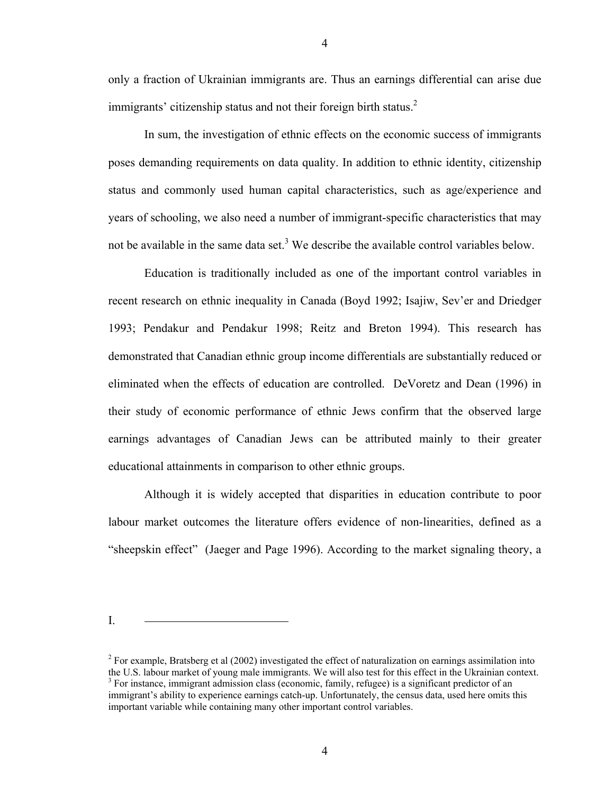only a fraction of Ukrainian immigrants are. Thus an earnings differential can arise due immigrants' citizenship status and not their foreign birth status.<sup>[2](#page-6-0)</sup>

In sum, the investigation of ethnic effects on the economic success of immigrants poses demanding requirements on data quality. In addition to ethnic identity, citizenship status and commonly used human capital characteristics, such as age/experience and years of schooling, we also need a number of immigrant-specific characteristics that may notbe available in the same data set.<sup>3</sup> We describe the available control variables below.

Education is traditionally included as one of the important control variables in recent research on ethnic inequality in Canada (Boyd 1992; Isajiw, Sev'er and Driedger 1993; Pendakur and Pendakur 1998; Reitz and Breton 1994). This research has demonstrated that Canadian ethnic group income differentials are substantially reduced or eliminated when the effects of education are controlled. DeVoretz and Dean (1996) in their study of economic performance of ethnic Jews confirm that the observed large earnings advantages of Canadian Jews can be attributed mainly to their greater educational attainments in comparison to other ethnic groups.

Although it is widely accepted that disparities in education contribute to poor labour market outcomes the literature offers evidence of non-linearities, defined as a "sheepskin effect" (Jaeger and Page 1996). According to the market signaling theory, a

<span id="page-6-1"></span><span id="page-6-0"></span><sup>&</sup>lt;sup>3</sup> For instance, immigrant admission class (economic, family, refugee) is a significant predictor of an immigrant's ability to experience earnings catch-up. Unfortunately, the census data, used here omits this important variable while containing many other important control variables.  $2^{2}$  For example, Bratsberg et al (2002) investigated the effect of naturalization on earnings assimilation into the U.S. labour market of young male immigrants. We will also test for this effect in the Ukrainian context. 3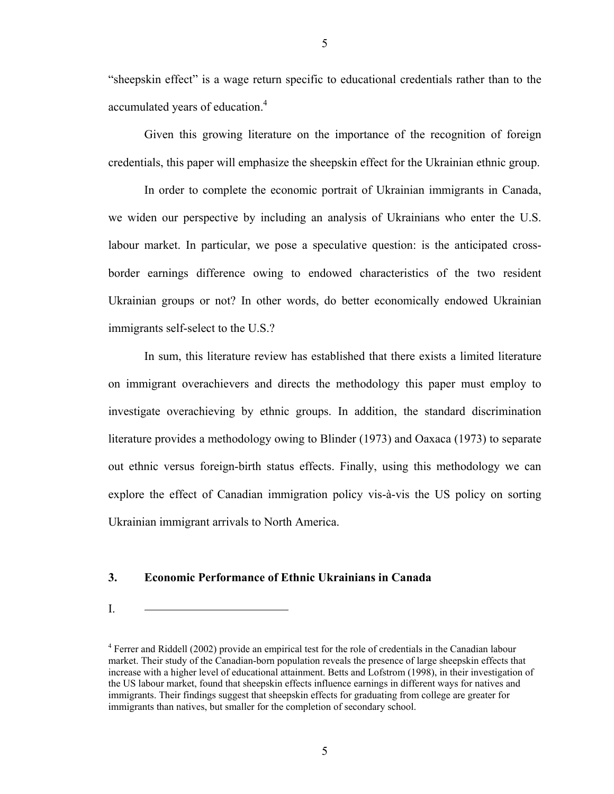"sheepskin effect" is a wage return specific to educational credentials rather than to the accumulated years of education.<sup>[4](#page-7-0)</sup>

Given this growing literature on the importance of the recognition of foreign credentials, this paper will emphasize the sheepskin effect for the Ukrainian ethnic group.

In order to complete the economic portrait of Ukrainian immigrants in Canada, we widen our perspective by including an analysis of Ukrainians who enter the U.S. labour market. In particular, we pose a speculative question: is the anticipated crossborder earnings difference owing to endowed characteristics of the two resident Ukrainian groups or not? In other words, do better economically endowed Ukrainian immigrants self-select to the U.S.?

In sum, this literature review has established that there exists a limited literature on immigrant overachievers and directs the methodology this paper must employ to investigate overachieving by ethnic groups. In addition, the standard discrimination literature provides a methodology owing to Blinder (1973) and Oaxaca (1973) to separate out ethnic versus foreign-birth status effects. Finally, using this methodology we can explore the effect of Canadian immigration policy vis-à-vis the US policy on sorting Ukrainian immigrant arrivals to North America.

#### **3. Economic Performance of Ethnic Ukrainians in Canada**

<span id="page-7-0"></span>the US labour market, found that sheepskin effects influence earnings in different ways for natives and immigrants. Their findings suggest that sheepskin effects for graduating from college are greater for immigrants than natives, but smaller for the completion of secondary school. <sup>4</sup> Ferrer and Riddell (2002) provide an empirical test for the role of credentials in the Canadian labour market. Their study of the Canadian-born population reveals the presence of large sheepskin effects that increase with a higher level of educational attainment. Betts and Lofstrom (1998), in their investigation of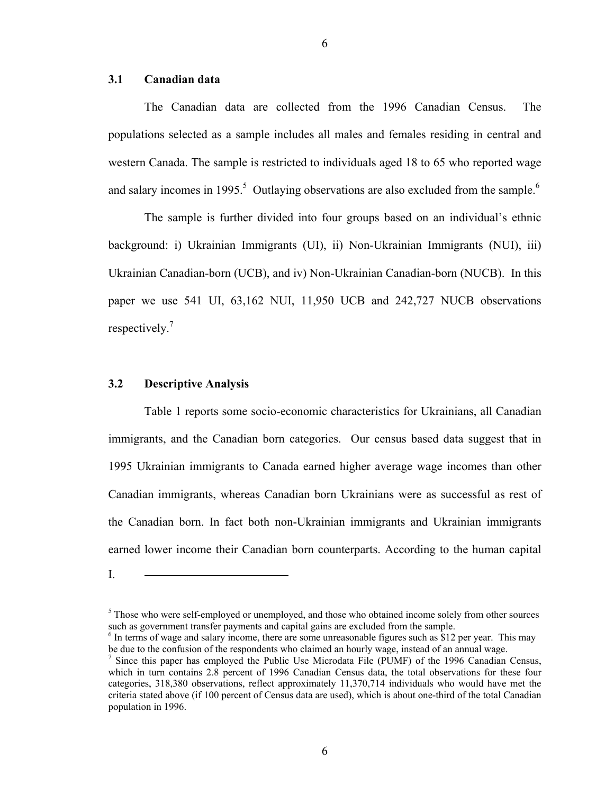#### **3.1 Canadian data**

The Canadian data are collected from the 1996 Canadian Census. The populations selected as a sample includes all males and females residing in central and western Canada. The sample is restricted to individuals aged 18 to 65 who reported wage and salary incomes in 1995.<sup>5</sup> Outlaying observations are also excluded from the sample.<sup>[6](#page-8-1)</sup>

The sample is further divided into four groups based on an individual's ethnic background: i) Ukrainian Immigrants (UI), ii) Non-Ukrainian Immigrants (NUI), iii) Ukrainian Canadian-born (UCB), and iv) Non-Ukrainian Canadian-born (NUCB). In this paper we use 541 UI, 63,162 NUI, 11,950 UCB and 242,727 NUCB observations respectively. [7](#page-8-2)

#### **3.2 Descriptive Analysis**

Table 1 reports some socio-economic characteristics for Ukrainians, all Canadian immigrants, and the Canadian born categories. Our census based data suggest that in 1995 Ukrainian immigrants to Canada earned higher average wage incomes than other Canadian immigrants, whereas Canadian born Ukrainians were as successful as rest of the Canadian born. In fact both non-Ukrainian immigrants and Ukrainian immigrants earned lower income their Canadian born counterparts. According to the human capital

I.

<span id="page-8-0"></span> $<sup>5</sup>$  Those who were self-employed or unemployed, and those who obtained income solely from other sources</sup> such as government transfer payments and capital gains are excluded from the sample.

<span id="page-8-1"></span> $\delta$  In terms of wage and salary income, there are some unreasonable figures such as \$12 per year. This may be due to the confusion of the respondents who claimed an hourly wage, instead of an annual wage.

<span id="page-8-2"></span>categories, 318,380 observations, reflect approximately 11,370,714 individuals who would have met the criteria stated above (if 100 percent of Census data are used), which is about one-third of the total Canadian population in 1996. <sup>7</sup> Since this paper has employed the Public Use Microdata File (PUMF) of the 1996 Canadian Census, which in turn contains 2.8 percent of 1996 Canadian Census data, the total observations for these four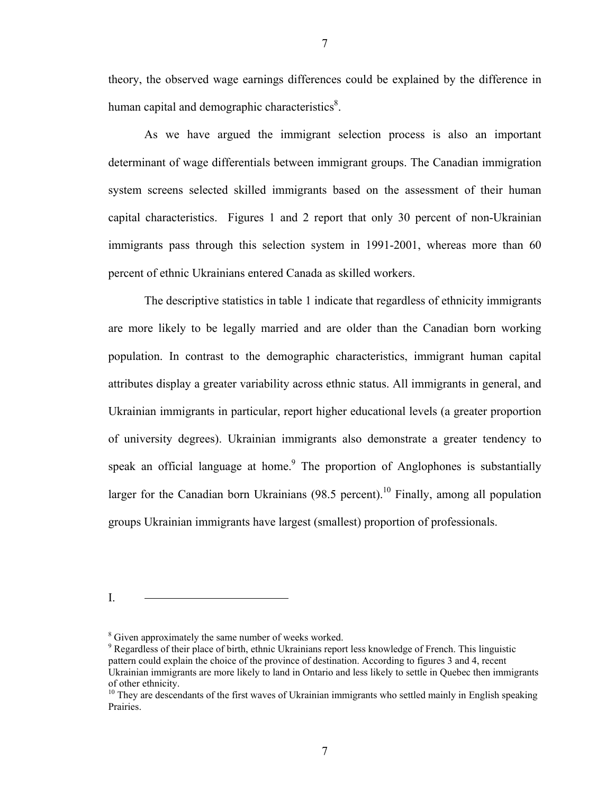theory, the observed wage earnings differences could be explained by the difference in human capital and demographic characteristics $\delta$ .

As we have argued the immigrant selection process is also an important determinant of wage differentials between immigrant groups. The Canadian immigration system screens selected skilled immigrants based on the assessment of their human capital characteristics. Figures 1 and 2 report that only 30 percent of non-Ukrainian immigrants pass through this selection system in 1991-2001, whereas more than 60 percent of ethnic Ukrainians entered Canada as skilled workers.

The descriptive statistics in table 1 indicate that regardless of ethnicity immigrants are more likely to be legally married and are older than the Canadian born working population. In contrast to the demographic characteristics, immigrant human capital attributes display a greater variability across ethnic status. All immigrants in general, and Ukrainian immigrants in particular, report higher educational levels (a greater proportion of university degrees). Ukrainian immigrants also demonstrate a greater tendency to speak an official language at home. The proportion of Anglophones is substantially larger for the Canadian born Ukrainians  $(98.5 \text{ percent})$ .<sup>10</sup> Finally, among all population groups Ukrainian immigrants have largest (smallest) proportion of professionals.

I.

7

<span id="page-9-0"></span><sup>&</sup>lt;sup>8</sup> Given approximately the same number of weeks worked.

<span id="page-9-1"></span>of other ethnicity. 10 They are descendants of the first waves of Ukrainian immigrants who settled mainly in English speaking  $9$  Regardless of their place of birth, ethnic Ukrainians report less knowledge of French. This linguistic pattern could explain the choice of the province of destination. According to figures 3 and 4, recent Ukrainian immigrants are more likely to land in Ontario and less likely to settle in Quebec then immigrants

<span id="page-9-2"></span>Prairies.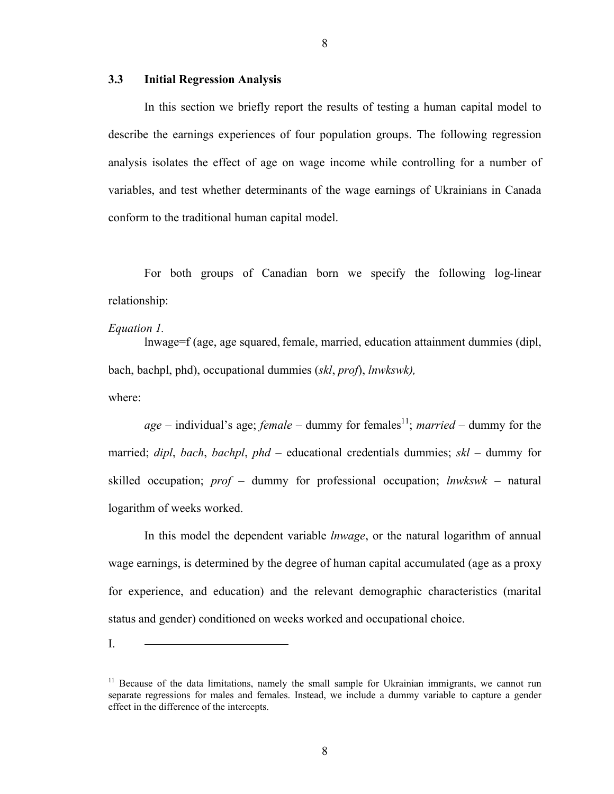#### **3.3 Initial Regression Analysis**

In this section we briefly report the results of testing a human capital model to describe the earnings experiences of four population groups. The following regression analysis isolates the effect of age on wage income while controlling for a number of variables, and test whether determinants of the wage earnings of Ukrainians in Canada conform to the traditional human capital model.

For both groups of Canadian born we specify the following log-linear relationship:

#### *Equation 1.*

lnwage=f (age, age squared, female, married, education attainment dummies (dipl, bach, bachpl, phd), occupational dummies (*skl*, *prof*), *lnwkswk),* where:

 $age$  – individual's age; *female* – dummy for females<sup>11</sup>; *married* – dummy for the married; *dipl*, *bach*, *bachpl*, *phd* – educational credentials dummies; *skl* – dummy for skilled occupation; *prof* – dummy for professional occupation; *lnwkswk* – natural logarithm of weeks worked.

In this model the dependent variable *lnwage*, or the natural logarithm of annual wage earnings, is determined by the degree of human capital accumulated (age as a proxy for experience, and education) and the relevant demographic characteristics (marital status and gender) conditioned on weeks worked and occupational choice.

<span id="page-10-0"></span> $11$  Because of the data limitations, namely the small sample for Ukrainian immigrants, we cannot run separate regressions for males and females. Instead, we include a dummy variable to capture a gender effect in the difference of the intercepts.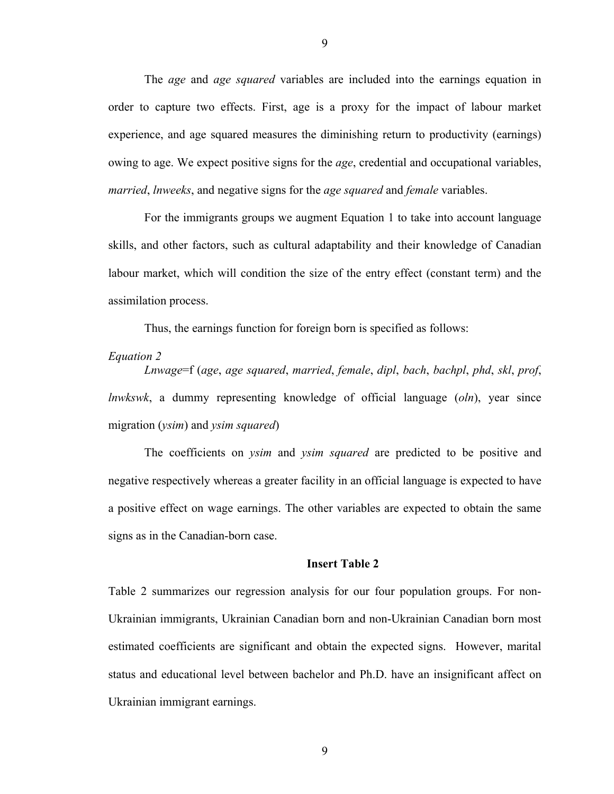The *age* and *age squared* variables are included into the earnings equation in order to capture two effects. First, age is a proxy for the impact of labour market experience, and age squared measures the diminishing return to productivity (earnings) owing to age. We expect positive signs for the *age*, credential and occupational variables, *married*, *lnweeks*, and negative signs for the *age squared* and *female* variables.

For the immigrants groups we augment Equation 1 to take into account language skills, and other factors, such as cultural adaptability and their knowledge of Canadian labour market, which will condition the size of the entry effect (constant term) and the assimilation process.

Thus, the earnings function for foreign born is specified as follows:

#### *Equation 2*

*Lnwage*=f (*age*, *age squared*, *married*, *female*, *dipl*, *bach*, *bachpl*, *phd*, *skl*, *prof*, *lnwkswk*, a dummy representing knowledge of official language (*oln*), year since migration (*ysim*) and *ysim squared*)

The coefficients on *ysim* and *ysim squared* are predicted to be positive and negative respectively whereas a greater facility in an official language is expected to have a positive effect on wage earnings. The other variables are expected to obtain the same signs as in the Canadian-born case.

#### **Insert Table 2**

Table 2 summarizes our regression analysis for our four population groups. For non-Ukrainian immigrants, Ukrainian Canadian born and non-Ukrainian Canadian born most estimated coefficients are significant and obtain the expected signs. However, marital status and educational level between bachelor and Ph.D. have an insignificant affect on Ukrainian immigrant earnings.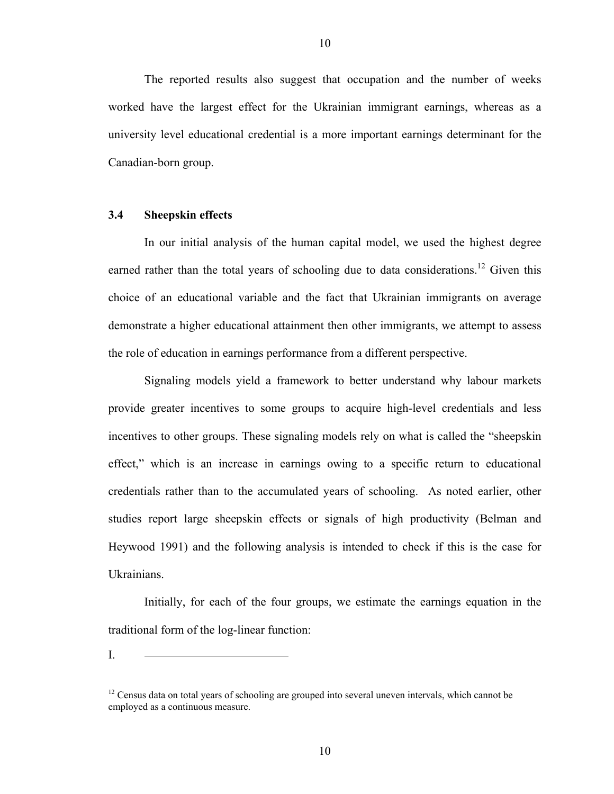The reported results also suggest that occupation and the number of weeks worked have the largest effect for the Ukrainian immigrant earnings, whereas as a university level educational credential is a more important earnings determinant for the Canadian-born group.

#### **3.4 Sheepskin effects**

In our initial analysis of the human capital model, we used the highest degree earned rather than the total years of schooling due to data considerations.<sup>12</sup> Given this choice of an educational variable and the fact that Ukrainian immigrants on average demonstrate a higher educational attainment then other immigrants, we attempt to assess the role of education in earnings performance from a different perspective.

Signaling models yield a framework to better understand why labour markets provide greater incentives to some groups to acquire high-level credentials and less incentives to other groups. These signaling models rely on what is called the "sheepskin effect," which is an increase in earnings owing to a specific return to educational credentials rather than to the accumulated years of schooling. As noted earlier, other studies report large sheepskin effects or signals of high productivity (Belman and Heywood 1991) and the following analysis is intended to check if this is the case for Ukrainians.

Initially, for each of the four groups, we estimate the earnings equation in the traditional form of the log-linear function:

<span id="page-12-0"></span> $12$  Census data on total years of schooling are grouped into several uneven intervals, which cannot be employed as a continuous measure.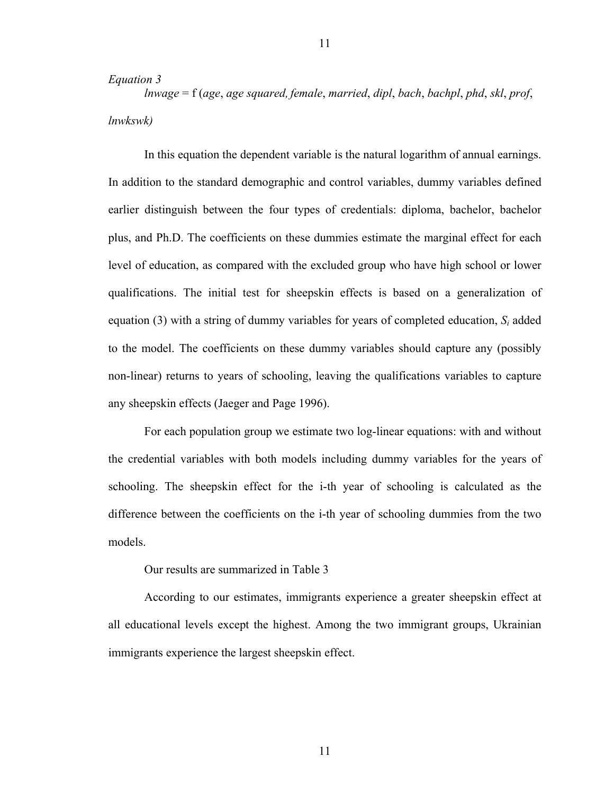#### *Equation 3*

*lnwage* = f (*age*, *age squared, female*, *married*, *dipl*, *bach*, *bachpl*, *phd*, *skl*, *prof*, *lnwkswk)*

In this equation the dependent variable is the natural logarithm of annual earnings. In addition to the standard demographic and control variables, dummy variables defined earlier distinguish between the four types of credentials: diploma, bachelor, bachelor plus, and Ph.D. The coefficients on these dummies estimate the marginal effect for each level of education, as compared with the excluded group who have high school or lower qualifications. The initial test for sheepskin effects is based on a generalization of equation (3) with a string of dummy variables for years of completed education,  $S_i$  added to the model. The coefficients on these dummy variables should capture any (possibly non-linear) returns to years of schooling, leaving the qualifications variables to capture any sheepskin effects (Jaeger and Page 1996).

For each population group we estimate two log-linear equations: with and without the credential variables with both models including dummy variables for the years of schooling. The sheepskin effect for the i-th year of schooling is calculated as the difference between the coefficients on the i-th year of schooling dummies from the two models.

Our results are summarized in Table 3

According to our estimates, immigrants experience a greater sheepskin effect at all educational levels except the highest. Among the two immigrant groups, Ukrainian immigrants experience the largest sheepskin effect.

11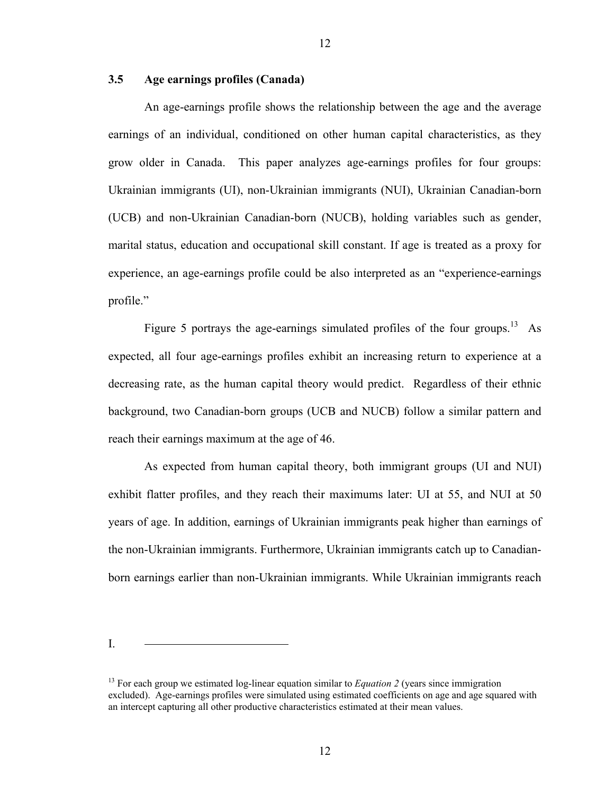#### **3.5 Age earnings profiles (Canada)**

An age-earnings profile shows the relationship between the age and the average earnings of an individual, conditioned on other human capital characteristics, as they grow older in Canada. This paper analyzes age-earnings profiles for four groups: Ukrainian immigrants (UI), non-Ukrainian immigrants (NUI), Ukrainian Canadian-born (UCB) and non-Ukrainian Canadian-born (NUCB), holding variables such as gender, marital status, education and occupational skill constant. If age is treated as a proxy for experience, an age-earnings profile could be also interpreted as an "experience-earnings profile."

Figure 5 portrays the age-earnings simulated profiles of the four groups.<sup>13</sup> As expected, all four age-earnings profiles exhibit an increasing return to experience at a decreasing rate, as the human capital theory would predict. Regardless of their ethnic background, two Canadian-born groups (UCB and NUCB) follow a similar pattern and reach their earnings maximum at the age of 46.

As expected from human capital theory, both immigrant groups (UI and NUI) exhibit flatter profiles, and they reach their maximums later: UI at 55, and NUI at 50 years of age. In addition, earnings of Ukrainian immigrants peak higher than earnings of the non-Ukrainian immigrants. Furthermore, Ukrainian immigrants catch up to Canadianborn earnings earlier than non-Ukrainian immigrants. While Ukrainian immigrants reach

<span id="page-14-0"></span><sup>&</sup>lt;sup>13</sup> For each group we estimated log-linear equation similar to *Equation 2* (years since immigration excluded). Age-earnings profiles were simulated using estimated coefficients on age and age squared with an intercept capturing all other productive characteristics estimated at their mean values.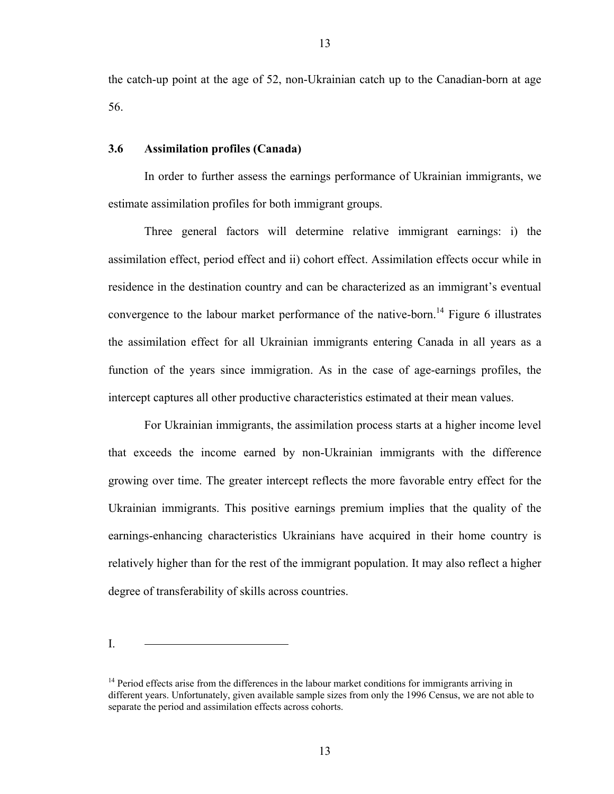the catch-up point at the age of 52, non-Ukrainian catch up to the Canadian-born at age 56.

#### **3.6 Assimilation profiles (Canada)**

In order to further assess the earnings performance of Ukrainian immigrants, we estimate assimilation profiles for both immigrant groups.

Three general factors will determine relative immigrant earnings: i) the assimilation effect, period effect and ii) cohort effect. Assimilation effects occur while in residence in the destination country and can be characterized as an immigrant's eventual convergence to the labour market performance of the native-born.<sup>14</sup> Figure 6 illustrates the assimilation effect for all Ukrainian immigrants entering Canada in all years as a function of the years since immigration. As in the case of age-earnings profiles, the intercept captures all other productive characteristics estimated at their mean values.

For Ukrainian immigrants, the assimilation process starts at a higher income level that exceeds the income earned by non-Ukrainian immigrants with the difference growing over time. The greater intercept reflects the more favorable entry effect for the Ukrainian immigrants. This positive earnings premium implies that the quality of the earnings-enhancing characteristics Ukrainians have acquired in their home country is relatively higher than for the rest of the immigrant population. It may also reflect a higher degree of transferability of skills across countries.

<span id="page-15-0"></span> $14$  Period effects arise from the differences in the labour market conditions for immigrants arriving in different years. Unfortunately, given available sample sizes from only the 1996 Census, we are not able to separate the period and assimilation effects across cohorts.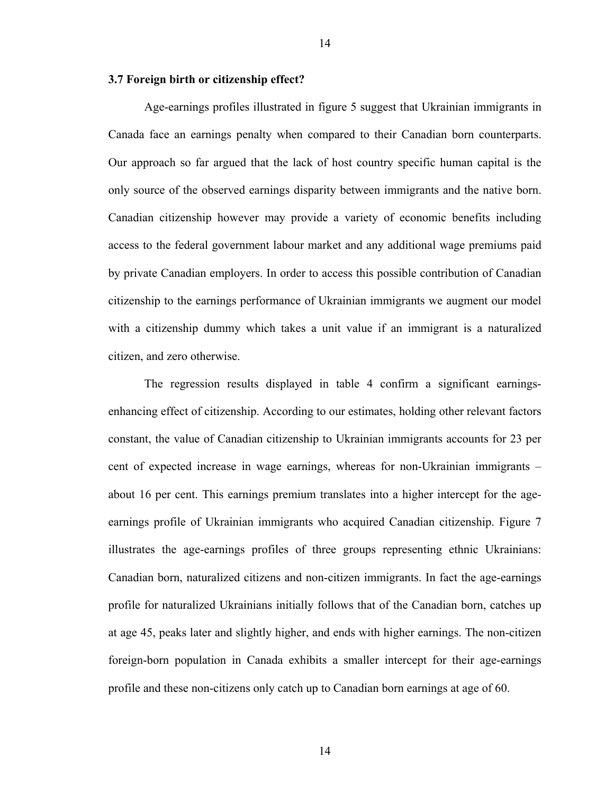#### **3.7 Foreign birth or citizenship effect?**

Age-earnings profiles illustrated in figure 5 suggest that Ukrainian immigrants in Canada face an earnings penalty when compared to their Canadian born counterparts. Our approach so far argued that the lack of host country specific human capital is the only source of the observed earnings disparity between immigrants and the native born. Canadian citizenship however may provide a variety of economic benefits including access to the federal government labour market and any additional wage premiums paid by private Canadian employers. In order to access this possible contribution of Canadian citizenship to the earnings performance of Ukrainian immigrants we augment our model with a citizenship dummy which takes a unit value if an immigrant is a naturalized citizen, and zero otherwise.

The regression results displayed in table 4 confirm a significant earningsenhancing effect of citizenship. According to our estimates, holding other relevant factors constant, the value of Canadian citizenship to Ukrainian immigrants accounts for 23 per cent of expected increase in wage earnings, whereas for non-Ukrainian immigrants – about 16 per cent. This earnings premium translates into a higher intercept for the ageearnings profile of Ukrainian immigrants who acquired Canadian citizenship. Figure 7 illustrates the age-earnings profiles of three groups representing ethnic Ukrainians: Canadian born, naturalized citizens and non-citizen immigrants. In fact the age-earnings profile for naturalized Ukrainians initially follows that of the Canadian born, catches up at age 45, peaks later and slightly higher, and ends with higher earnings. The non-citizen foreign-born population in Canada exhibits a smaller intercept for their age-earnings profile and these non-citizens only catch up to Canadian born earnings at age of 60.

14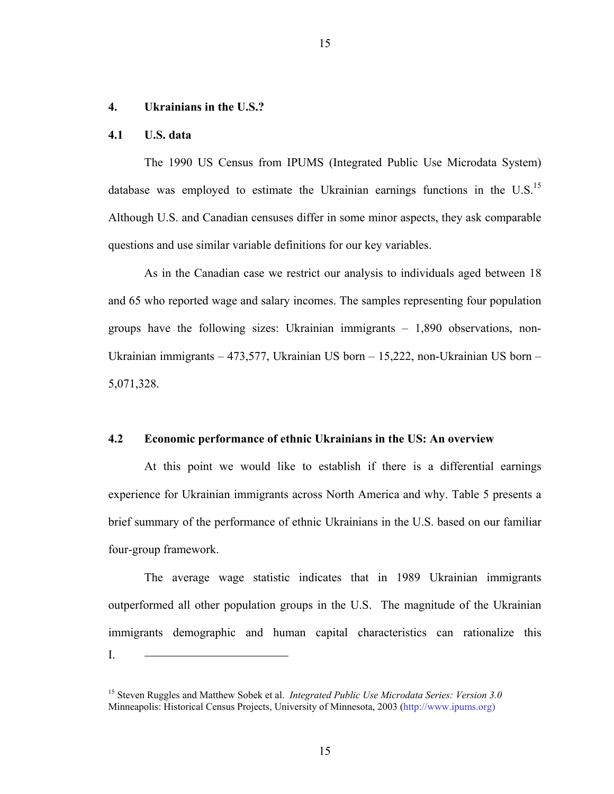#### **4. Ukrainians in the U.S.?**

#### **4.1 U.S. data**

The 1990 US Census from IPUMS (Integrated Public Use Microdata System) database was employed to estimate the Ukrainian earnings functions in the U.S.<sup>15</sup> Although U.S. and Canadian censuses differ in some minor aspects, they ask comparable questions and use similar variable definitions for our key variables.

As in the Canadian case we restrict our analysis to individuals aged between 18 and 65 who reported wage and salary incomes. The samples representing four population groups have the following sizes: Ukrainian immigrants – 1,890 observations, non-Ukrainian immigrants – 473,577, Ukrainian US born – 15,222, non-Ukrainian US born – 5,071,328.

#### **4.2 Economic performance of ethnic Ukrainians in the US: An overview**

At this point we would like to establish if there is a differential earnings experience for Ukrainian immigrants across North America and why. Table 5 presents a brief summary of the performance of ethnic Ukrainians in the U.S. based on our familiar four-group framework.

The average wage statistic indicates that in 1989 Ukrainian immigrants outperformed all other population groups in the U.S. The magnitude of the Ukrainian immigrants demographic and human capital characteristics can rationalize this I.

<span id="page-17-0"></span><sup>15</sup> Steven Ruggles and Matthew Sobek et al. *Integrated Public Use Microdata Series: Version 3.0* Minneapolis: Historical Census Projects, University of Minnesota, 2003 (http://www.ipums.org)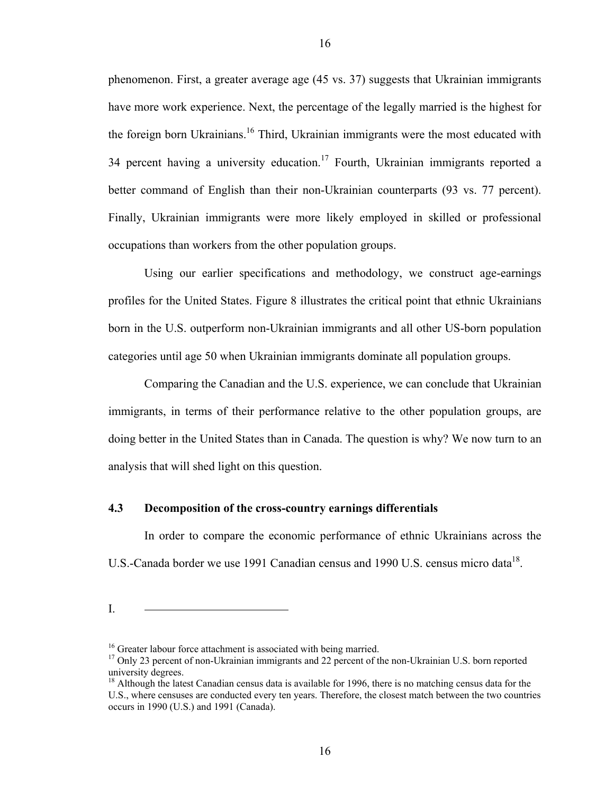phenomenon. First, a greater average age (45 vs. 37) suggests that Ukrainian immigrants have more work experience. Next, the percentage of the legally married is the highest for the foreign born Ukrainians.<sup>16</sup> Third, Ukrainian immigrants were the most educated with 34 percent having a university education.<sup>17</sup> Fourth, Ukrainian immigrants reported a better command of English than their non-Ukrainian counterparts (93 vs. 77 percent). Finally, Ukrainian immigrants were more likely employed in skilled or professional occupations than workers from the other population groups.

Using our earlier specifications and methodology, we construct age-earnings profiles for the United States. Figure 8 illustrates the critical point that ethnic Ukrainians born in the U.S. outperform non-Ukrainian immigrants and all other US-born population categories until age 50 when Ukrainian immigrants dominate all population groups.

Comparing the Canadian and the U.S. experience, we can conclude that Ukrainian immigrants, in terms of their performance relative to the other population groups, are doing better in the United States than in Canada. The question is why? We now turn to an analysis that will shed light on this question.

#### **4.3 Decomposition of the cross-country earnings differentials**

In order to compare the economic performance of ethnic Ukrainians across the U.S.-Canada border we use 1991 Canadian census and 1990 U.S. census micro data<sup>18</sup>.

<span id="page-18-1"></span><span id="page-18-0"></span>

<sup>&</sup>lt;sup>16</sup> Greater labour force attachment is associated with being married.<br><sup>17</sup> Only 23 percent of non-Ukrainian immigrants and 22 percent of the non-Ukrainian U.S. born reported university degrees. 18

<span id="page-18-2"></span><sup>&</sup>lt;sup>18</sup> Although the latest Canadian census data is available for 1996, there is no matching census data for the U.S., where censuses are conducted every ten years. Therefore, the closest match between the two countries occurs in 1990 (U.S.) and 1991 (Canada).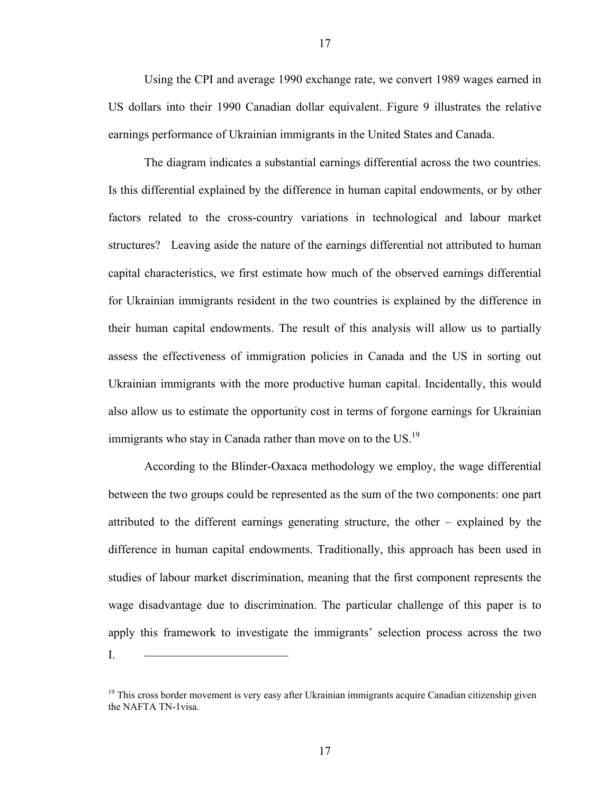Using the CPI and average 1990 exchange rate, we convert 1989 wages earned in US dollars into their 1990 Canadian dollar equivalent. Figure 9 illustrates the relative earnings performance of Ukrainian immigrants in the United States and Canada.

The diagram indicates a substantial earnings differential across the two countries. Is this differential explained by the difference in human capital endowments, or by other factors related to the cross-country variations in technological and labour market structures? Leaving aside the nature of the earnings differential not attributed to human capital characteristics, we first estimate how much of the observed earnings differential for Ukrainian immigrants resident in the two countries is explained by the difference in their human capital endowments. The result of this analysis will allow us to partially assess the effectiveness of immigration policies in Canada and the US in sorting out Ukrainian immigrants with the more productive human capital. Incidentally, this would also allow us to estimate the opportunity cost in terms of forgone earnings for Ukrainian immigrants who stay in Canada rather than move on to the US.<sup>[19](#page-19-0)</sup>

According to the Blinder-Oaxaca methodology we employ, the wage differential between the two groups could be represented as the sum of the two components: one part attributed to the different earnings generating structure, the other – explained by the difference in human capital endowments. Traditionally, this approach has been used in studies of labour market discrimination, meaning that the first component represents the wage disadvantage due to discrimination. The particular challenge of this paper is to apply this framework to investigate the immigrants' selection process across the two I.

<span id="page-19-0"></span> $19$  This cross border movement is very easy after Ukrainian immigrants acquire Canadian citizenship given the NAFTA TN-1visa.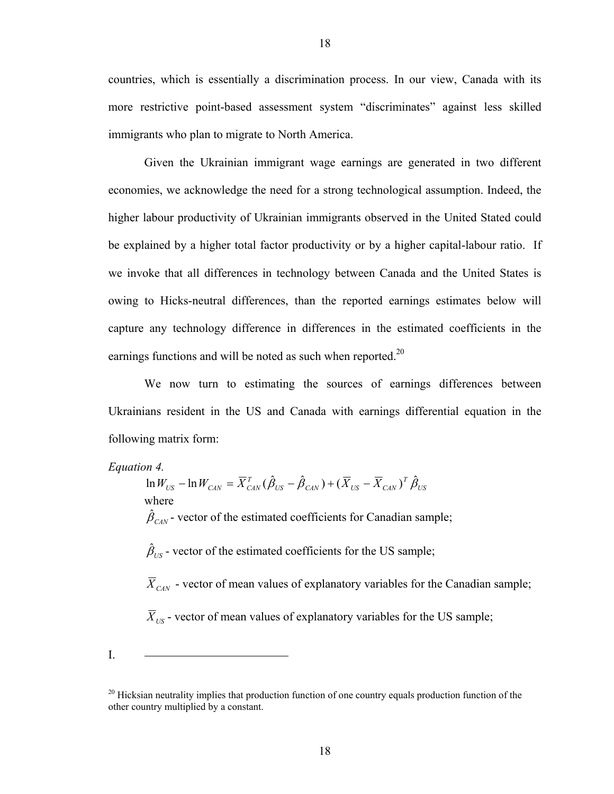countries, which is essentially a discrimination process. In our view, Canada with its more restrictive point-based assessment system "discriminates" against less skilled immigrants who plan to migrate to North America.

Given the Ukrainian immigrant wage earnings are generated in two different economies, we acknowledge the need for a strong technological assumption. Indeed, the higher labour productivity of Ukrainian immigrants observed in the United Stated could be explained by a higher total factor productivity or by a higher capital-labour ratio. If we invoke that all differences in technology between Canada and the United States is owing to Hicks-neutral differences, than the reported earnings estimates below will capture any technology difference in differences in the estimated coefficients in the earnings functions and will be noted as such when reported.<sup>20</sup>

We now turn to estimating the sources of earnings differences between Ukrainians resident in the US and Canada with earnings differential equation in the following matrix form:

*Equation 4.* 

$$
\ln W_{US} - \ln W_{CAN} = \overline{X}_{CAN}^T (\hat{\beta}_{US} - \hat{\beta}_{CAN}) + (\overline{X}_{US} - \overline{X}_{CAN})^T \hat{\beta}_{US}
$$
  
where

 $\hat{\beta}_{\text{CAN}}$  - vector of the estimated coefficients for Canadian sample;

 $\hat{\beta}_{US}$  - vector of the estimated coefficients for the US sample;

 $\overline{X}_{CAN}$  - vector of mean values of explanatory variables for the Canadian sample;

 $\overline{X}_{US}$  - vector of mean values of explanatory variables for the US sample;

<span id="page-20-0"></span><sup>&</sup>lt;sup>20</sup> Hicksian neutrality implies that production function of one country equals production function of the other country multiplied by a constant.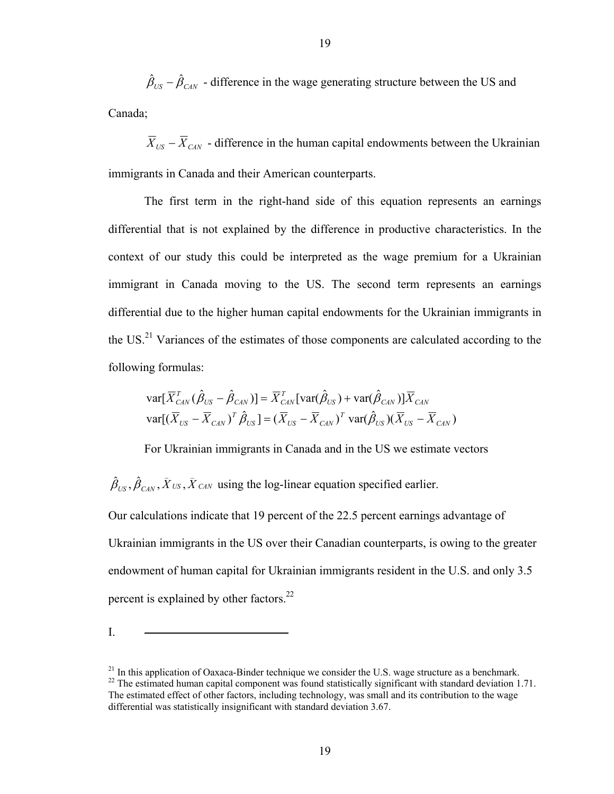$\hat{\beta}_{US} - \hat{\beta}_{CAN}$  – difference in the wage generating structure between the US and Canada;

 $\overline{X}_{US} - \overline{X}_{CAN}$  - difference in the human capital endowments between the Ukrainian immigrants in Canada and their American counterparts.

The first term in the right-hand side of this equation represents an earnings differential that is not explained by the difference in productive characteristics. In the context of our study this could be interpreted as the wage premium for a Ukrainian immigrant in Canada moving to the US. The second term represents an earnings differential due to the higher human capital endowments for the Ukrainian immigrants in the US.<sup>21</sup> Variances of the estimates of those components are calculated according to the following formulas:

$$
\text{var}[\overline{X}_{\text{CAN}}^T(\hat{\beta}_{\text{US}} - \hat{\beta}_{\text{CAN}})] = \overline{X}_{\text{CAN}}^T[\text{var}(\hat{\beta}_{\text{US}}) + \text{var}(\hat{\beta}_{\text{CAN}})]\overline{X}_{\text{CAN}}
$$

$$
\text{var}[(\overline{X}_{\text{US}} - \overline{X}_{\text{CAN}})^T \hat{\beta}_{\text{US}}] = (\overline{X}_{\text{US}} - \overline{X}_{\text{CAN}})^T \text{var}(\hat{\beta}_{\text{US}})(\overline{X}_{\text{US}} - \overline{X}_{\text{CAN}})
$$

For Ukrainian immigrants in Canada and in the US we estimate vectors

 $\hat{\beta}_{US}, \hat{\beta}_{CAN}, \bar{X}_{US}, \bar{X}_{CAN}$  using the log-linear equation specified earlier.

Our calculations indicate that 19 percent of the 22.5 percent earnings advantage of Ukrainian immigrants in the US over their Canadian counterparts, is owing to the greater endowment of human capital for Ukrainian immigrants resident in the U.S. and only 3.5 percent is explained by other factors.<sup>22</sup>

<span id="page-21-1"></span><span id="page-21-0"></span> $^{22}$  The estimated human capital component was found statistically significant with standard deviation 1.71. The estimated effect of other factors, including technology, was small and its contribution to the wage differential was statistically insignificant with standard deviation 3.67.  $21$  In this application of Oaxaca-Binder technique we consider the U.S. wage structure as a benchmark.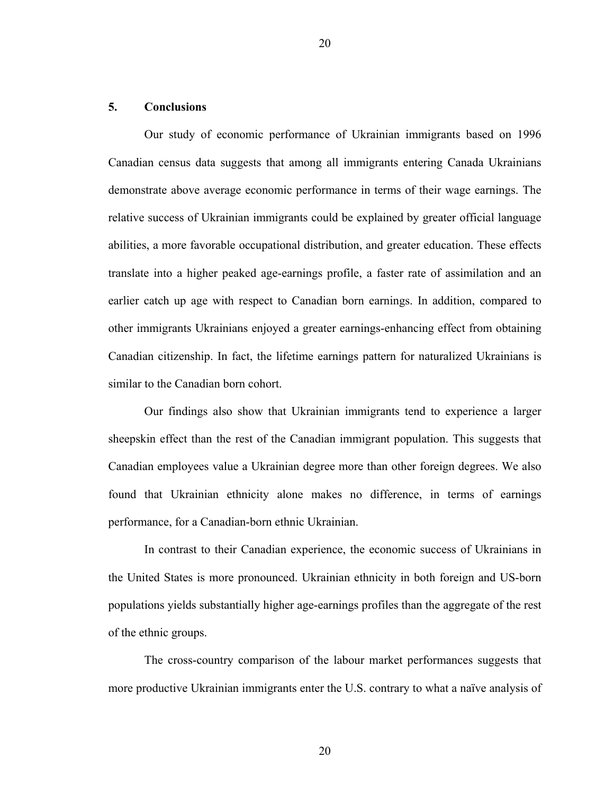#### **5. Conclusions**

Our study of economic performance of Ukrainian immigrants based on 1996 Canadian census data suggests that among all immigrants entering Canada Ukrainians demonstrate above average economic performance in terms of their wage earnings. The relative success of Ukrainian immigrants could be explained by greater official language abilities, a more favorable occupational distribution, and greater education. These effects translate into a higher peaked age-earnings profile, a faster rate of assimilation and an earlier catch up age with respect to Canadian born earnings. In addition, compared to other immigrants Ukrainians enjoyed a greater earnings-enhancing effect from obtaining Canadian citizenship. In fact, the lifetime earnings pattern for naturalized Ukrainians is similar to the Canadian born cohort.

Our findings also show that Ukrainian immigrants tend to experience a larger sheepskin effect than the rest of the Canadian immigrant population. This suggests that Canadian employees value a Ukrainian degree more than other foreign degrees. We also found that Ukrainian ethnicity alone makes no difference, in terms of earnings performance, for a Canadian-born ethnic Ukrainian.

In contrast to their Canadian experience, the economic success of Ukrainians in the United States is more pronounced. Ukrainian ethnicity in both foreign and US-born populations yields substantially higher age-earnings profiles than the aggregate of the rest of the ethnic groups.

The cross-country comparison of the labour market performances suggests that more productive Ukrainian immigrants enter the U.S. contrary to what a naïve analysis of

20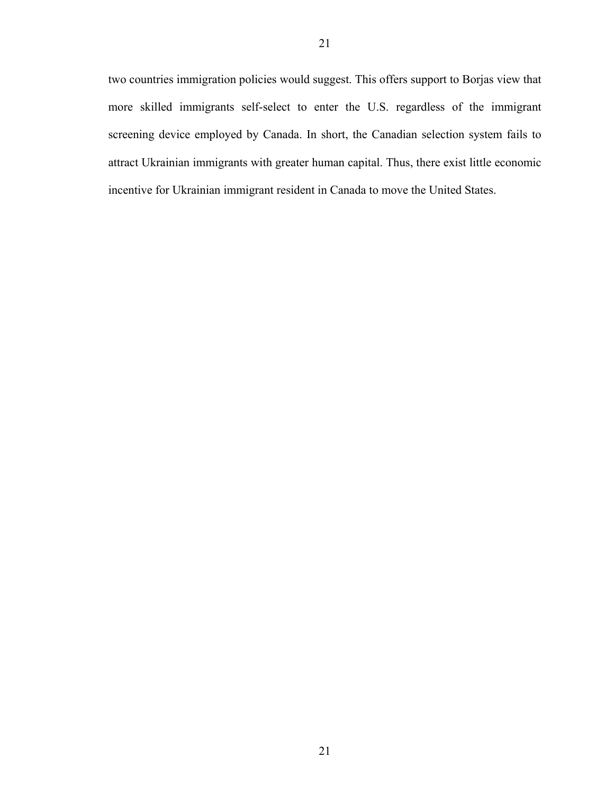two countries immigration policies would suggest. This offers support to Borjas view that more skilled immigrants self-select to enter the U.S. regardless of the immigrant screening device employed by Canada. In short, the Canadian selection system fails to attract Ukrainian immigrants with greater human capital. Thus, there exist little economic incentive for Ukrainian immigrant resident in Canada to move the United States.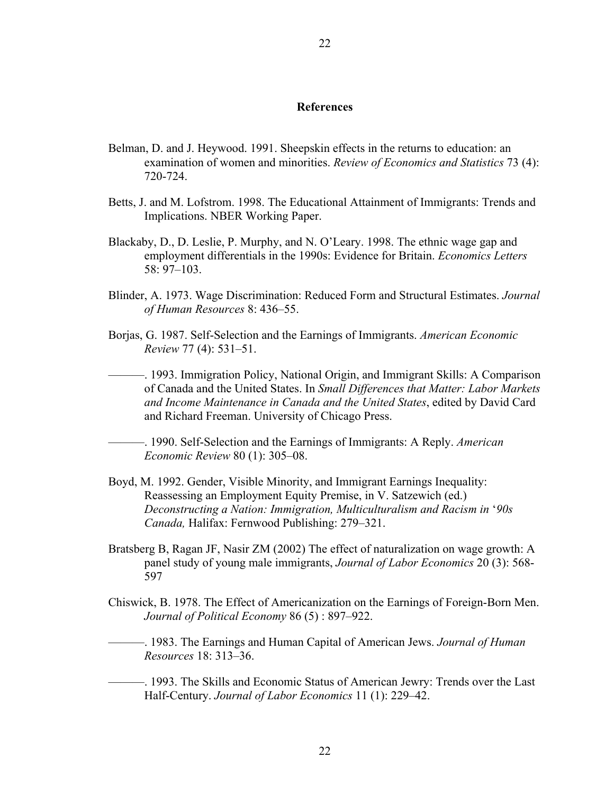#### **References**

- Belman, D. and J. Heywood. 1991. Sheepskin effects in the returns to education: an examination of women and minorities. *Review of Economics and Statistics* 73 (4): 720-724.
- Betts, J. and M. Lofstrom. 1998. The Educational Attainment of Immigrants: Trends and Implications. NBER Working Paper.
- Blackaby, D., D. Leslie, P. Murphy, and N. O'Leary. 1998. The ethnic wage gap and employment differentials in the 1990s: Evidence for Britain. *Economics Letters* 58: 97–103.
- Blinder, A. 1973. Wage Discrimination: Reduced Form and Structural Estimates. *Journal of Human Resources* 8: 436–55.
- Borjas, G. 1987. Self-Selection and the Earnings of Immigrants. *American Economic Review* 77 (4): 531–51.
	- ———. 1993. Immigration Policy, National Origin, and Immigrant Skills: A Comparison of Canada and the United States. In *Small Differences that Matter: Labor Markets and Income Maintenance in Canada and the United States*, edited by David Card and Richard Freeman. University of Chicago Press.
	- ———. 1990. Self-Selection and the Earnings of Immigrants: A Reply. *American Economic Review* 80 (1): 305–08.
- Boyd, M. 1992. Gender, Visible Minority, and Immigrant Earnings Inequality: Reassessing an Employment Equity Premise, in V. Satzewich (ed.) *Deconstructing a Nation: Immigration, Multiculturalism and Racism in* '*90s Canada,* Halifax: Fernwood Publishing: 279–321.
- Bratsberg B, Ragan JF, Nasir ZM (2002) The effect of naturalization on wage growth: A panel study of young male immigrants, *Journal of Labor Economics* 20 (3): 568- 597
- Chiswick, B. 1978. The Effect of Americanization on the Earnings of Foreign-Born Men. *Journal of Political Economy* 86 (5) : 897–922.
- ———. 1983. The Earnings and Human Capital of American Jews. *Journal of Human Resources* 18: 313–36.
- ———. 1993. The Skills and Economic Status of American Jewry: Trends over the Last Half-Century. *Journal of Labor Economics* 11 (1): 229–42.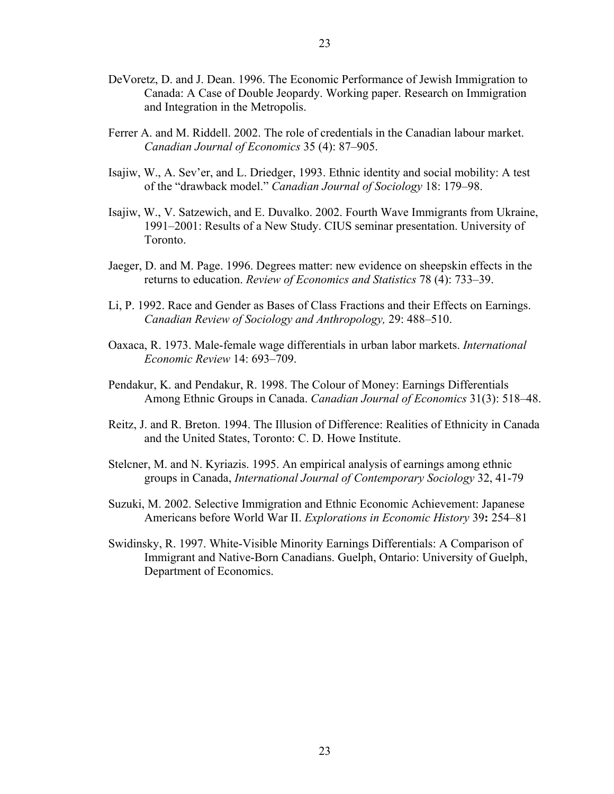- DeVoretz, D. and J. Dean. 1996. The Economic Performance of Jewish Immigration to Canada: A Case of Double Jeopardy. Working paper. Research on Immigration and Integration in the Metropolis.
- Ferrer A. and M. Riddell. 2002. The role of credentials in the Canadian labour market. *Canadian Journal of Economics* 35 (4): 87–905.
- Isajiw, W., A. Sev'er, and L. Driedger, 1993. Ethnic identity and social mobility: A test of the "drawback model." *Canadian Journal of Sociology* 18: 179–98.
- Isajiw, W., V. Satzewich, and E. Duvalko. 2002. Fourth Wave Immigrants from Ukraine, 1991–2001: Results of a New Study. CIUS seminar presentation. University of Toronto.
- Jaeger, D. and M. Page. 1996. Degrees matter: new evidence on sheepskin effects in the returns to education. *Review of Economics and Statistics* 78 (4): 733–39.
- Li, P. 1992. Race and Gender as Bases of Class Fractions and their Effects on Earnings. *Canadian Review of Sociology and Anthropology,* 29: 488–510.
- Oaxaca, R. 1973. Male-female wage differentials in urban labor markets. *International Economic Review* 14: 693–709.
- Pendakur, K. and Pendakur, R. 1998. The Colour of Money: Earnings Differentials Among Ethnic Groups in Canada. *Canadian Journal of Economics* 31(3): 518–48.
- Reitz, J. and R. Breton. 1994. The Illusion of Difference: Realities of Ethnicity in Canada and the United States, Toronto: C. D. Howe Institute.
- Stelcner, M. and N. Kyriazis. 1995. An empirical analysis of earnings among ethnic groups in Canada, *International Journal of Contemporary Sociology* 32, 41-79
- Suzuki, M. 2002. Selective Immigration and Ethnic Economic Achievement: Japanese Americans before World War II. *Explorations in Economic History* 39**:** 254–81
- Swidinsky, R. 1997. White-Visible Minority Earnings Differentials: A Comparison of Immigrant and Native-Born Canadians. Guelph, Ontario: University of Guelph, Department of Economics.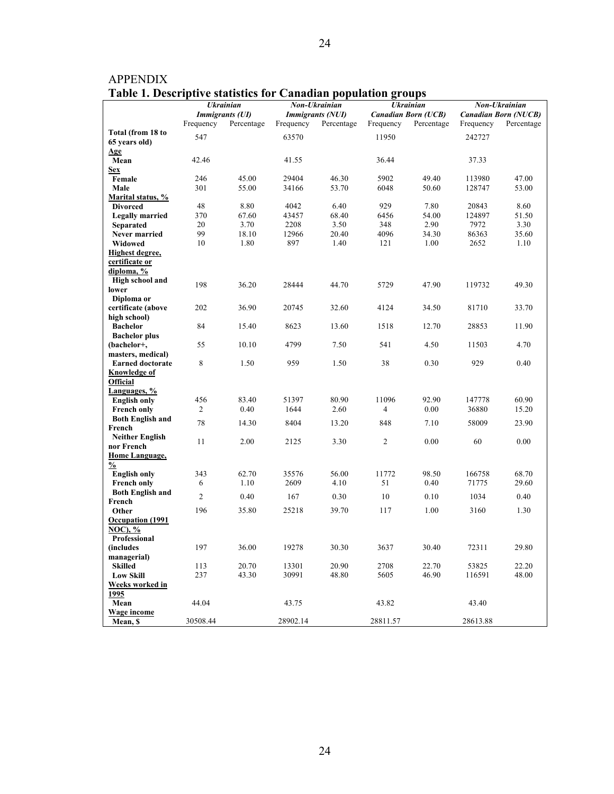| rabic 1. Descriptive statistics for Canadian population groups |                |                        |           |                         |                |                            |           |                             |
|----------------------------------------------------------------|----------------|------------------------|-----------|-------------------------|----------------|----------------------------|-----------|-----------------------------|
|                                                                |                | <b>Ukrainian</b>       |           | Non-Ukrainian           |                | <b>Ukrainian</b>           |           | Non-Ukrainian               |
|                                                                |                | <b>Immigrants (UI)</b> |           | <b>Immigrants (NUI)</b> |                | <b>Canadian Born (UCB)</b> |           | <b>Canadian Born (NUCB)</b> |
|                                                                | Frequency      | Percentage             | Frequency | Percentage              | Frequency      | Percentage                 | Frequency | Percentage                  |
| Total (from 18 to                                              | 547            |                        | 63570     |                         | 11950          |                            | 242727    |                             |
| 65 years old)                                                  |                |                        |           |                         |                |                            |           |                             |
| Age                                                            |                |                        |           |                         |                |                            |           |                             |
| Mean                                                           | 42.46          |                        | 41.55     |                         | 36.44          |                            | 37.33     |                             |
| <b>Sex</b>                                                     |                |                        |           |                         |                |                            |           |                             |
| Female                                                         | 246            | 45.00                  | 29404     | 46.30                   | 5902           | 49.40                      | 113980    | 47.00                       |
| Male                                                           | 301            | 55.00                  | 34166     | 53.70                   | 6048           | 50.60                      | 128747    | 53.00                       |
| Marital status, %                                              |                |                        |           |                         |                |                            |           |                             |
| <b>Divorced</b>                                                | 48             | 8.80                   | 4042      | 6.40                    | 929            | 7.80                       | 20843     | 8.60                        |
| <b>Legally married</b>                                         | 370            | 67.60                  | 43457     | 68.40                   | 6456           | 54.00                      | 124897    | 51.50                       |
| <b>Separated</b>                                               | 20             | 3.70                   | 2208      | 3.50                    | 348            | 2.90                       | 7972      | 3.30                        |
| <b>Never married</b>                                           | 99             | 18.10                  | 12966     | 20.40                   | 4096           | 34.30                      | 86363     | 35.60                       |
| Widowed                                                        | 10             | 1.80                   | 897       | 1.40                    | 121            | 1.00                       | 2652      | 1.10                        |
|                                                                |                |                        |           |                         |                |                            |           |                             |
| Highest degree,                                                |                |                        |           |                         |                |                            |           |                             |
| certificate or                                                 |                |                        |           |                         |                |                            |           |                             |
| diploma, %                                                     |                |                        |           |                         |                |                            |           |                             |
| High school and                                                | 198            | 36.20                  | 28444     | 44.70                   | 5729           | 47.90                      | 119732    | 49.30                       |
| lower                                                          |                |                        |           |                         |                |                            |           |                             |
| Diploma or                                                     |                |                        |           |                         |                |                            |           |                             |
| certificate (above                                             | 202            | 36.90                  | 20745     | 32.60                   | 4124           | 34.50                      | 81710     | 33.70                       |
| high school)                                                   |                |                        |           |                         |                |                            |           |                             |
| <b>Bachelor</b>                                                | 84             | 15.40                  | 8623      | 13.60                   | 1518           | 12.70                      | 28853     | 11.90                       |
| <b>Bachelor</b> plus                                           |                |                        |           |                         |                |                            |           |                             |
| (bachelor+,                                                    | 55             | 10.10                  | 4799      | 7.50                    | 541            | 4.50                       | 11503     | 4.70                        |
| masters, medical)                                              |                |                        |           |                         |                |                            |           |                             |
| <b>Earned doctorate</b>                                        | $\,$ 8 $\,$    | 1.50                   | 959       | 1.50                    | 38             | 0.30                       | 929       | 0.40                        |
| Knowledge of                                                   |                |                        |           |                         |                |                            |           |                             |
| <b>Official</b>                                                |                |                        |           |                         |                |                            |           |                             |
| Languages, %                                                   |                |                        |           |                         |                |                            |           |                             |
| <b>English only</b>                                            | 456            | 83.40                  | 51397     | 80.90                   | 11096          | 92.90                      | 147778    | 60.90                       |
| <b>French only</b>                                             | 2              | 0.40                   | 1644      | 2.60                    | 4              | 0.00                       | 36880     | 15.20                       |
| <b>Both English and</b>                                        |                |                        |           |                         |                |                            |           |                             |
| French                                                         | 78             | 14.30                  | 8404      | 13.20                   | 848            | 7.10                       | 58009     | 23.90                       |
| <b>Neither English</b>                                         |                |                        |           |                         |                |                            |           |                             |
| nor French                                                     | 11             | 2.00                   | 2125      | 3.30                    | $\overline{2}$ | 0.00                       | 60        | 0.00                        |
| Home Language,                                                 |                |                        |           |                         |                |                            |           |                             |
| $\frac{0}{0}$                                                  |                |                        |           |                         |                |                            |           |                             |
| <b>English only</b>                                            | 343            | 62.70                  | 35576     | 56.00                   | 11772          | 98.50                      | 166758    | 68.70                       |
| <b>French only</b>                                             | 6              | 1.10                   | 2609      | 4.10                    | 51             | 0.40                       | 71775     | 29.60                       |
| <b>Both English and</b>                                        |                |                        |           |                         |                |                            |           |                             |
| French                                                         | $\overline{c}$ | 0.40                   | 167       | 0.30                    | 10             | 0.10                       | 1034      | 0.40                        |
| Other                                                          | 196            | 35.80                  | 25218     | 39.70                   | 117            | 1.00                       | 3160      | 1.30                        |
| <b>Occupation</b> (1991                                        |                |                        |           |                         |                |                            |           |                             |
| NOC), %                                                        |                |                        |           |                         |                |                            |           |                             |
| Professional                                                   |                |                        |           |                         |                |                            |           |                             |
| (includes                                                      |                |                        | 19278     |                         |                |                            |           |                             |
|                                                                | 197            | 36.00                  |           | 30.30                   | 3637           | 30.40                      | 72311     | 29.80                       |
| managerial)<br><b>Skilled</b>                                  | 113            | 20.70                  | 13301     | 20.90                   | 2708           | 22.70                      | 53825     | 22.20                       |
| <b>Low Skill</b>                                               | 237            | 43.30                  | 30991     | 48.80                   | 5605           | 46.90                      | 116591    | 48.00                       |
|                                                                |                |                        |           |                         |                |                            |           |                             |
| Weeks worked in                                                |                |                        |           |                         |                |                            |           |                             |
| 1995                                                           |                |                        |           |                         |                |                            |           |                             |
| Mean                                                           | 44.04          |                        | 43.75     |                         | 43.82          |                            | 43.40     |                             |
| Wage income                                                    |                |                        |           |                         |                |                            |           |                             |
| Mean, \$                                                       | 30508.44       |                        | 28902.14  |                         | 28811.57       |                            | 28613.88  |                             |

APPENDIX **Table 1. Descriptive statistics for Canadian population groups**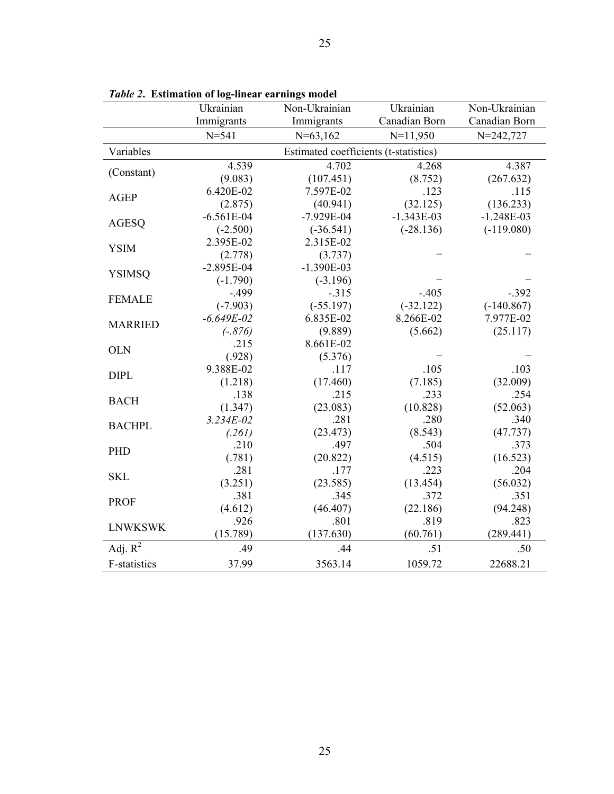|                     | $\mathbf{v}$ . $\mathbf{v}$<br>Ukrainian | Non-Ukrainian                         | Ukrainian     | $\overline{\text{Non-Ukrainian}}$ |
|---------------------|------------------------------------------|---------------------------------------|---------------|-----------------------------------|
|                     | Immigrants                               | Immigrants                            | Canadian Born | Canadian Born                     |
|                     | $N = 541$                                | $N=63,162$                            | $N=11,950$    | $N = 242,727$                     |
| Variables           |                                          | Estimated coefficients (t-statistics) |               |                                   |
| (Constant)          | 4.539                                    | 4.702                                 | 4.268         | 4.387                             |
|                     | (9.083)                                  | (107.451)                             | (8.752)       | (267.632)                         |
| <b>AGEP</b>         | 6.420E-02                                | 7.597E-02                             | .123          | .115                              |
|                     | (2.875)                                  | (40.941)                              | (32.125)      | (136.233)                         |
| <b>AGESQ</b>        | $-6.561E-04$                             | $-7.929E - 04$                        | $-1.343E-03$  | $-1.248E-03$                      |
|                     | $(-2.500)$                               | $(-36.541)$                           | $(-28.136)$   | $(-119.080)$                      |
| <b>YSIM</b>         | 2.395E-02                                | 2.315E-02                             |               |                                   |
|                     | (2.778)                                  | (3.737)                               |               |                                   |
| <b>YSIMSQ</b>       | $-2.895E-04$                             | $-1.390E-03$                          |               |                                   |
|                     | $(-1.790)$                               | $(-3.196)$                            |               |                                   |
| <b>FEMALE</b>       | $-.499$                                  | $-.315$                               | $-.405$       | $-.392$                           |
|                     | $(-7.903)$                               | $(-55.197)$                           | $(-32.122)$   | $(-140.867)$                      |
| <b>MARRIED</b>      | $-6.649E - 02$                           | 6.835E-02                             | 8.266E-02     | 7.977E-02                         |
|                     | $(-.876)$                                | (9.889)                               | (5.662)       | (25.117)                          |
| <b>OLN</b>          | .215                                     | 8.661E-02                             |               |                                   |
|                     | (.928)                                   | (5.376)                               |               |                                   |
| <b>DIPL</b>         | 9.388E-02                                | .117                                  | .105          | .103                              |
|                     | (1.218)                                  | (17.460)                              | (7.185)       | (32.009)                          |
| <b>BACH</b>         | .138                                     | .215                                  | .233          | .254                              |
|                     | (1.347)                                  | (23.083)                              | (10.828)      | (52.063)                          |
| <b>BACHPL</b>       | $3.234E - 02$                            | .281                                  | .280          | .340                              |
|                     | (.261)                                   | (23.473)                              | (8.543)       | (47.737)                          |
| PHD                 | .210                                     | .497                                  | .504          | .373                              |
|                     | (.781)                                   | (20.822)                              | (4.515)       | (16.523)                          |
| <b>SKL</b>          | .281                                     | .177                                  | .223          | .204                              |
|                     | (3.251)                                  | (23.585)                              | (13.454)      | (56.032)                          |
| <b>PROF</b>         | .381                                     | .345                                  | .372          | .351                              |
|                     | (4.612)                                  | (46.407)                              | (22.186)      | (94.248)                          |
| <b>LNWKSWK</b>      | .926                                     | .801                                  | .819          | .823                              |
|                     | (15.789)                                 | (137.630)                             | (60.761)      | (289.441)                         |
| Adj. $R^2$          | .49                                      | .44                                   | .51           | .50                               |
| <b>F-statistics</b> | 37.99                                    | 3563.14                               | 1059.72       | 22688.21                          |

*Table 2***. Estimation of log-linear earnings model**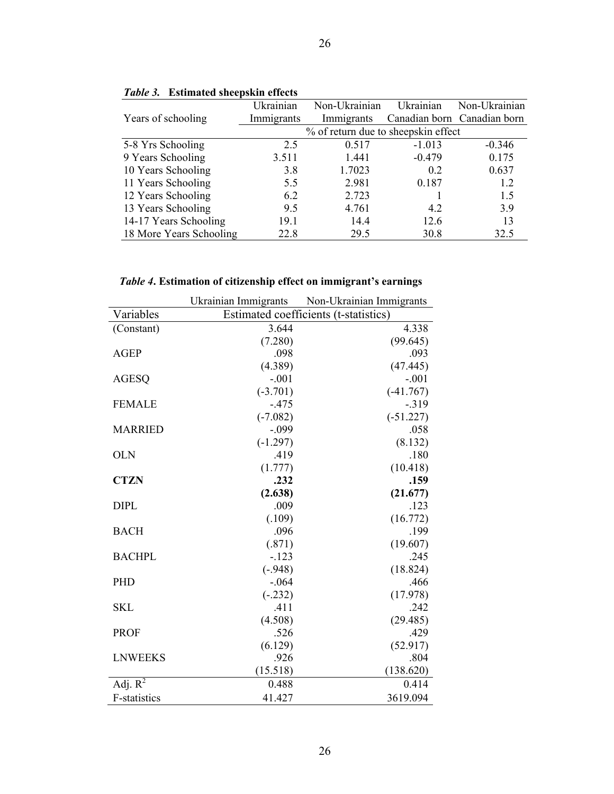|                         | Ukrainian                           | Non-Ukrainian | Ukrainian | Non-Ukrainian               |  |  |  |  |
|-------------------------|-------------------------------------|---------------|-----------|-----------------------------|--|--|--|--|
| Years of schooling      | Immigrants                          | Immigrants    |           | Canadian born Canadian born |  |  |  |  |
|                         | % of return due to sheepskin effect |               |           |                             |  |  |  |  |
| 5-8 Yrs Schooling       | 2.5                                 | 0.517         | $-1.013$  | $-0.346$                    |  |  |  |  |
| 9 Years Schooling       | 3.511                               | 1.441         | $-0.479$  | 0.175                       |  |  |  |  |
| 10 Years Schooling      | 3.8                                 | 1.7023        | 0.2       | 0.637                       |  |  |  |  |
| 11 Years Schooling      | 5.5                                 | 2.981         | 0.187     | 1.2                         |  |  |  |  |
| 12 Years Schooling      | 6.2                                 | 2.723         |           | 1.5                         |  |  |  |  |
| 13 Years Schooling      | 9.5                                 | 4.761         | 4.2       | 3.9                         |  |  |  |  |
| 14-17 Years Schooling   | 19.1                                | 14.4          | 12.6      | 13                          |  |  |  |  |
| 18 More Years Schooling | 22.8                                | 29.5          | 30.8      | 32.5                        |  |  |  |  |

26

### *Table 4***. Estimation of citizenship effect on immigrant's earnings**

|                     | Ukrainian Immigrants | Non-Ukrainian Immigrants              |
|---------------------|----------------------|---------------------------------------|
| Variables           |                      | Estimated coefficients (t-statistics) |
| (Constant)          | 3.644                | 4.338                                 |
|                     | (7.280)              | (99.645)                              |
| <b>AGEP</b>         | .098                 | .093                                  |
|                     | (4.389)              | (47.445)                              |
| <b>AGESQ</b>        | $-.001$              | $-.001$                               |
|                     | $(-3.701)$           | $(-41.767)$                           |
| <b>FEMALE</b>       | $-.475$              | $-0.319$                              |
|                     | $(-7.082)$           | $(-51.227)$                           |
| <b>MARRIED</b>      | $-.099$              | .058                                  |
|                     | $(-1.297)$           | (8.132)                               |
| <b>OLN</b>          | .419                 | .180                                  |
|                     | (1.777)              | (10.418)                              |
| <b>CTZN</b>         | .232                 | .159                                  |
|                     | (2.638)              | (21.677)                              |
| <b>DIPL</b>         | .009                 | .123                                  |
|                     | (.109)               | (16.772)                              |
| <b>BACH</b>         | .096                 | .199                                  |
|                     | (.871)               | (19.607)                              |
| <b>BACHPL</b>       | $-123$               | .245                                  |
|                     | $(-.948)$            | (18.824)                              |
| PHD                 | $-.064$              | .466                                  |
|                     | $(-.232)$            | (17.978)                              |
| <b>SKL</b>          | .411                 | .242                                  |
|                     | (4.508)              | (29.485)                              |
| <b>PROF</b>         | .526                 | .429                                  |
|                     | (6.129)              | (52.917)                              |
| <b>LNWEEKS</b>      | .926                 | .804                                  |
|                     | (15.518)             | (138.620)                             |
| Adj. $R^2$          | 0.488                | 0.414                                 |
| <b>F-statistics</b> | 41.427               | 3619.094                              |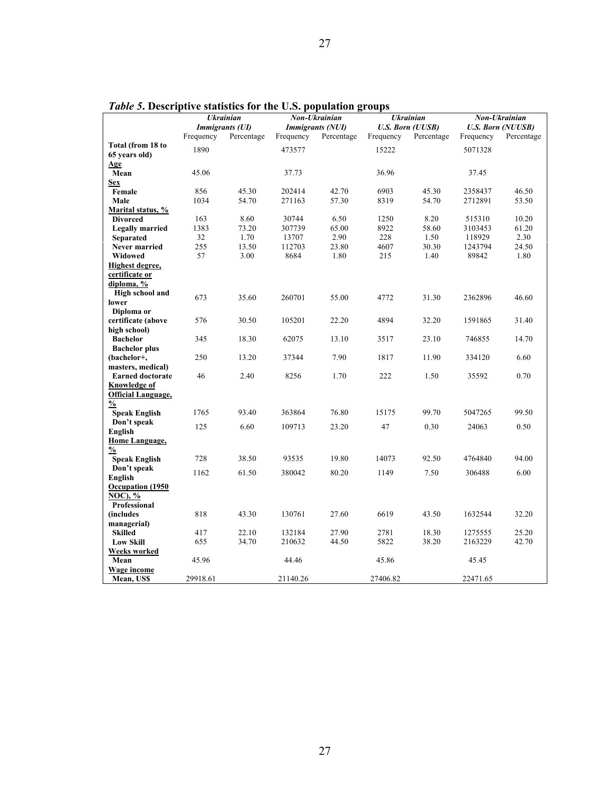| ruste si Descriptive statistics for the Oisi population groups<br>Non-Ukrainian<br><b>Ukrainian</b><br>Non-Ukrainian |                  |                        |                         |            |           |                         |           |                          |
|----------------------------------------------------------------------------------------------------------------------|------------------|------------------------|-------------------------|------------|-----------|-------------------------|-----------|--------------------------|
|                                                                                                                      | <b>Ukrainian</b> |                        | <i>Immigrants (NUI)</i> |            |           |                         |           |                          |
|                                                                                                                      |                  | <i>Immigrants (UI)</i> |                         |            |           | <b>U.S. Born (UUSB)</b> |           | <b>U.S. Born (NUUSB)</b> |
|                                                                                                                      | Frequency        | Percentage             | Frequency               | Percentage | Frequency | Percentage              | Frequency | Percentage               |
| Total (from 18 to                                                                                                    | 1890             |                        | 473577                  |            | 15222     |                         | 5071328   |                          |
| 65 years old)                                                                                                        |                  |                        |                         |            |           |                         |           |                          |
| Age                                                                                                                  |                  |                        |                         |            |           |                         |           |                          |
| Mean                                                                                                                 | 45.06            |                        | 37.73                   |            | 36.96     |                         | 37.45     |                          |
| <b>Sex</b>                                                                                                           |                  |                        |                         |            |           |                         |           |                          |
| Female                                                                                                               | 856              | 45.30                  | 202414                  | 42.70      | 6903      | 45.30                   | 2358437   | 46.50                    |
| Male                                                                                                                 | 1034             | 54.70                  | 271163                  | 57.30      | 8319      | 54.70                   | 2712891   | 53.50                    |
| <b>Marital status, %</b>                                                                                             |                  |                        |                         |            |           |                         |           |                          |
| <b>Divorced</b>                                                                                                      | 163              | 8.60                   | 30744                   | 6.50       | 1250      | 8.20                    | 515310    | 10.20                    |
| <b>Legally married</b>                                                                                               | 1383             | 73.20                  | 307739                  | 65.00      | 8922      | 58.60                   | 3103453   | 61.20                    |
| <b>Separated</b>                                                                                                     | 32               | 1.70                   | 13707                   | 2.90       | 228       | 1.50                    | 118929    | 2.30                     |
| Never married                                                                                                        | 255              | 13.50                  | 112703                  | 23.80      | 4607      | 30.30                   | 1243794   | 24.50                    |
| Widowed                                                                                                              | 57               | 3.00                   | 8684                    | 1.80       | 215       | 1.40                    | 89842     | 1.80                     |
| Highest degree,                                                                                                      |                  |                        |                         |            |           |                         |           |                          |
| certificate or                                                                                                       |                  |                        |                         |            |           |                         |           |                          |
| diploma, %                                                                                                           |                  |                        |                         |            |           |                         |           |                          |
| High school and                                                                                                      | 673              | 35.60                  | 260701                  | 55.00      | 4772      | 31.30                   | 2362896   | 46.60                    |
| lower                                                                                                                |                  |                        |                         |            |           |                         |           |                          |
| Diploma or                                                                                                           |                  |                        |                         |            |           |                         |           |                          |
| certificate (above                                                                                                   | 576              | 30.50                  | 105201                  | 22.20      | 4894      | 32.20                   | 1591865   | 31.40                    |
| high school)                                                                                                         |                  |                        |                         |            |           |                         |           |                          |
| <b>Bachelor</b>                                                                                                      | 345              | 18.30                  | 62075                   | 13.10      | 3517      | 23.10                   | 746855    | 14.70                    |
| <b>Bachelor</b> plus                                                                                                 | 250              | 13.20                  | 37344                   | 7.90       | 1817      | 11.90                   | 334120    | 6.60                     |
| (bachelor+,                                                                                                          |                  |                        |                         |            |           |                         |           |                          |
| masters, medical)<br><b>Earned doctorate</b>                                                                         | 46               | 2.40                   | 8256                    | 1.70       | 222       | 1.50                    | 35592     | 0.70                     |
| Knowledge of                                                                                                         |                  |                        |                         |            |           |                         |           |                          |
| <b>Official Language,</b>                                                                                            |                  |                        |                         |            |           |                         |           |                          |
| $\frac{0}{2}$                                                                                                        |                  |                        |                         |            |           |                         |           |                          |
| <b>Speak English</b>                                                                                                 | 1765             | 93.40                  | 363864                  | 76.80      | 15175     | 99.70                   | 5047265   | 99.50                    |
| Don't speak                                                                                                          |                  |                        |                         |            |           |                         |           |                          |
| English                                                                                                              | 125              | 6.60                   | 109713                  | 23.20      | 47        | 0.30                    | 24063     | 0.50                     |
| Home Language,                                                                                                       |                  |                        |                         |            |           |                         |           |                          |
| $\frac{0}{0}$                                                                                                        |                  |                        |                         |            |           |                         |           |                          |
| <b>Speak English</b>                                                                                                 | 728              | 38.50                  | 93535                   | 19.80      | 14073     | 92.50                   | 4764840   | 94.00                    |
| Don't speak                                                                                                          |                  |                        |                         |            |           |                         |           |                          |
| English                                                                                                              | 1162             | 61.50                  | 380042                  | 80.20      | 1149      | 7.50                    | 306488    | 6.00                     |
| Occupation (1950)                                                                                                    |                  |                        |                         |            |           |                         |           |                          |
| <b>NOC), %</b>                                                                                                       |                  |                        |                         |            |           |                         |           |                          |
| Professional                                                                                                         |                  |                        |                         |            |           |                         |           |                          |
| <i>(includes)</i>                                                                                                    | 818              | 43.30                  | 130761                  | 27.60      | 6619      | 43.50                   | 1632544   | 32.20                    |
| managerial)                                                                                                          |                  |                        |                         |            |           |                         |           |                          |
| <b>Skilled</b>                                                                                                       | 417              | 22.10                  | 132184                  | 27.90      | 2781      | 18.30                   | 1275555   | 25.20                    |
| <b>Low Skill</b>                                                                                                     | 655              | 34.70                  | 210632                  | 44.50      | 5822      | 38.20                   | 2163229   | 42.70                    |
| <b>Weeks worked</b>                                                                                                  |                  |                        |                         |            |           |                         |           |                          |
| Mean                                                                                                                 | 45.96            |                        | 44.46                   |            | 45.86     |                         | 45.45     |                          |
| <b>Wage income</b>                                                                                                   |                  |                        |                         |            |           |                         |           |                          |
| Mean, US\$                                                                                                           | 29918.61         |                        | 21140.26                |            | 27406.82  |                         | 22471.65  |                          |

*Table 5***. Descriptive statistics for the U.S. population groups**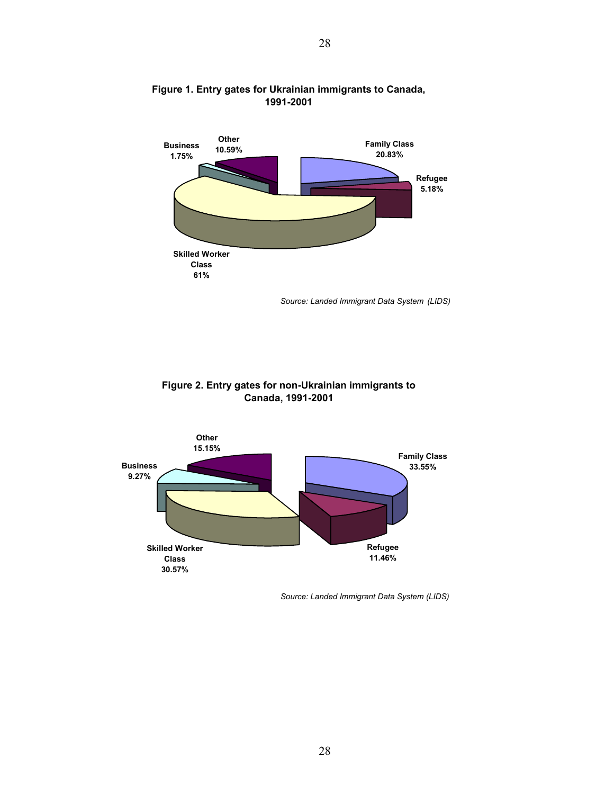

#### **Figure 1. Entry gates for Ukrainian immigrants to Canada, 1991-2001**

*Source: Landed Immigrant Data System (LIDS)*





*Source: Landed Immigrant Data System (LIDS)*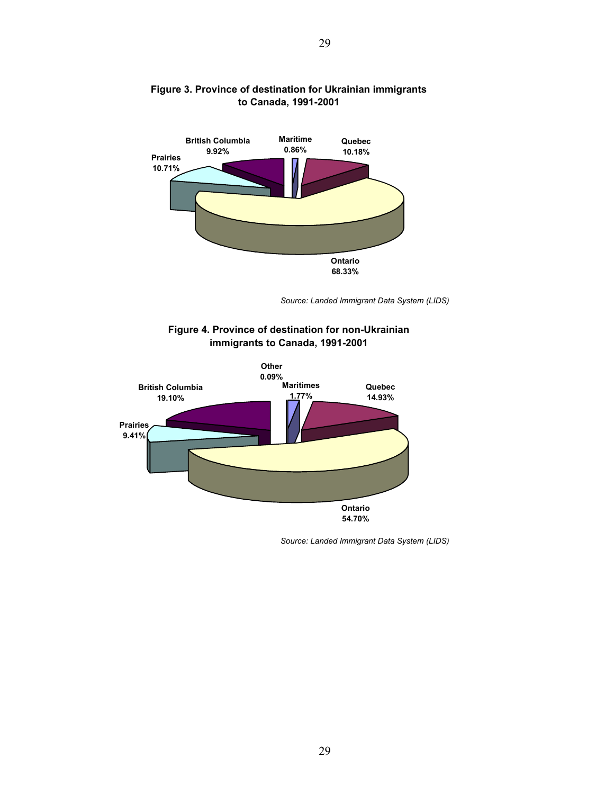

#### **Figure 3. Province of destination for Ukrainian immigrants to Canada, 1991-2001**

*Source: Landed Immigrant Data System (LIDS)*





*Source: Landed Immigrant Data System (LIDS)*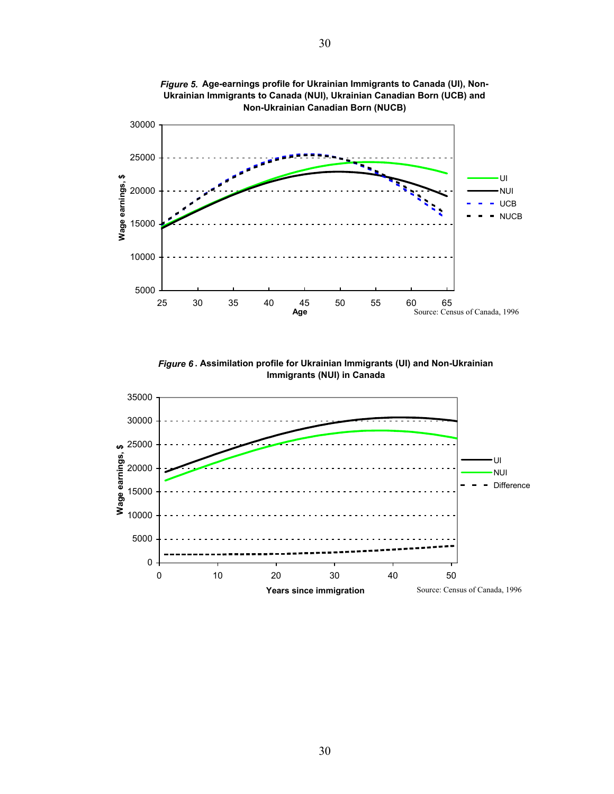

*Figure 5.* **Age-earnings profile for Ukrainian Immigrants to Canada (UI), Non-Ukrainian Immigrants to Canada (NUI), Ukrainian Canadian Born (UCB) and** 

*Figure 6* **. Assimilation profile for Ukrainian Immigrants (UI) and Non-Ukrainian Immigrants (NUI) in Canada**

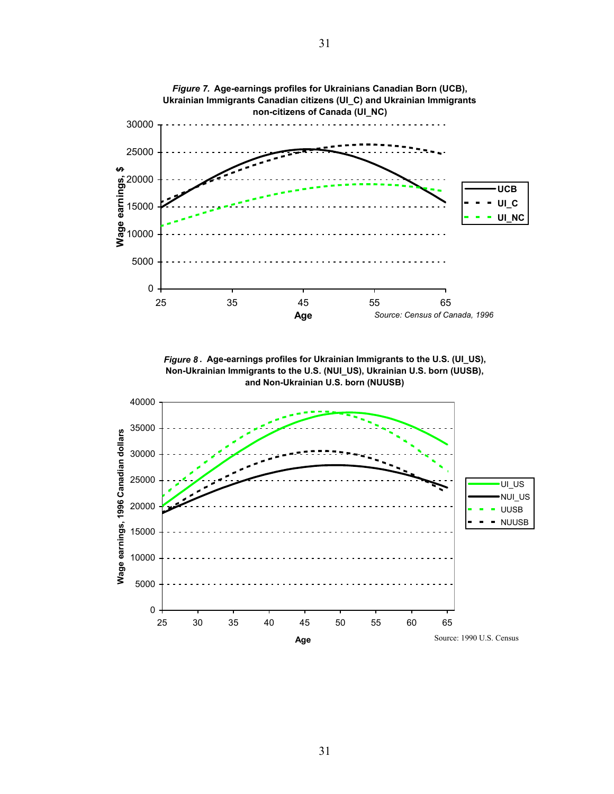

*Figure 8* **. Age-earnings profiles for Ukrainian Immigrants to the U.S. (UI\_US), Non-Ukrainian Immigrants to the U.S. (NUI\_US), Ukrainian U.S. born (UUSB), and Non-Ukrainian U.S. born (NUUSB)**

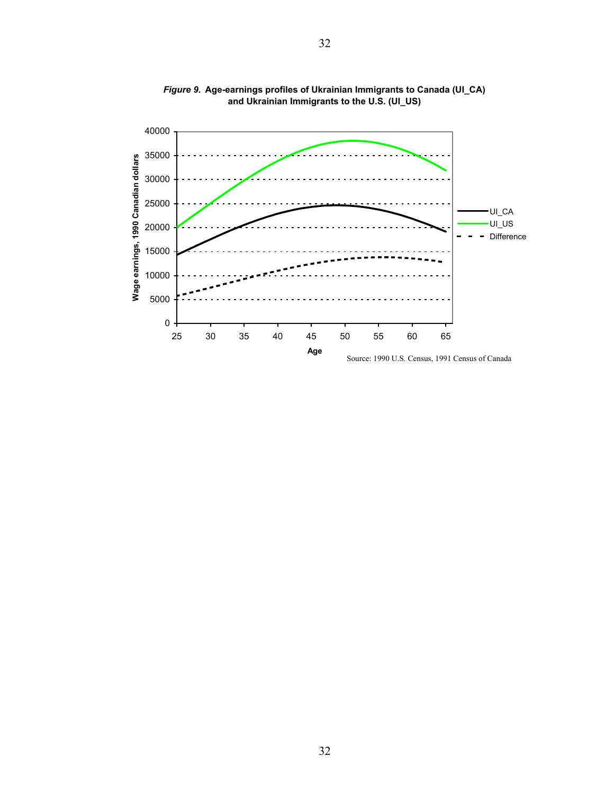

*Figure 9.* **Age-earnings profiles of Ukrainian Immigrants to Canada (UI\_CA) and Ukrainian Immigrants to the U.S. (UI\_US)**